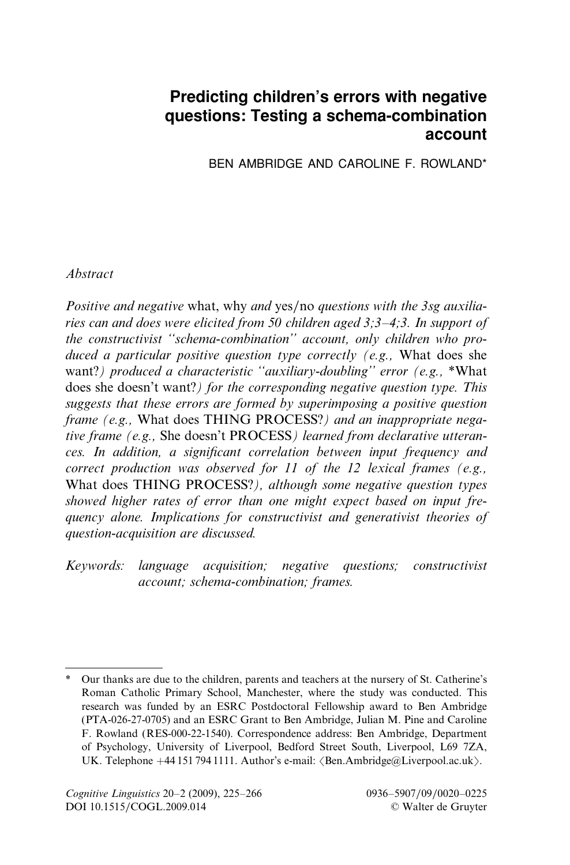# Predicting children's errors with negative questions: Testing a schema-combination account

BEN AMBRIDGE AND CAROLINE F. ROWLAND\*

# Abstract

Positive and negative what, why and yes/no questions with the 3sg auxiliaries can and does were elicited from 50 children aged 3;3–4;3. In support of the constructivist ''schema-combination'' account, only children who produced a particular positive question type correctly  $(e.g.,$  What does she want?) produced a characteristic "auxiliary-doubling" error (e.g., \*What does she doesn't want?) for the corresponding negative question type. This suggests that these errors are formed by superimposing a positive question frame (e.g., What does THING PROCESS?) and an inappropriate negative frame (e.g., She doesn't PROCESS) learned from declarative utterances. In addition, a significant correlation between input frequency and correct production was observed for 11 of the 12 lexical frames (e.g., What does THING PROCESS?), although some negative question types showed higher rates of error than one might expect based on input frequency alone. Implications for constructivist and generativist theories of question-acquisition are discussed.

Keywords: language acquisition; negative questions; constructivist account; schema-combination; frames.

Our thanks are due to the children, parents and teachers at the nursery of St. Catherine's Roman Catholic Primary School, Manchester, where the study was conducted. This research was funded by an ESRC Postdoctoral Fellowship award to Ben Ambridge (PTA-026-27-0705) and an ESRC Grant to Ben Ambridge, Julian M. Pine and Caroline F. Rowland (RES-000-22-1540). Correspondence address: Ben Ambridge, Department of Psychology, University of Liverpool, Bedford Street South, Liverpool, L69 7ZA, UK. Telephone  $+44$  151 794 1111. Author's e-mail:  $\langle$ Ben.Ambridge@Liverpool.ac.uk $\rangle$ .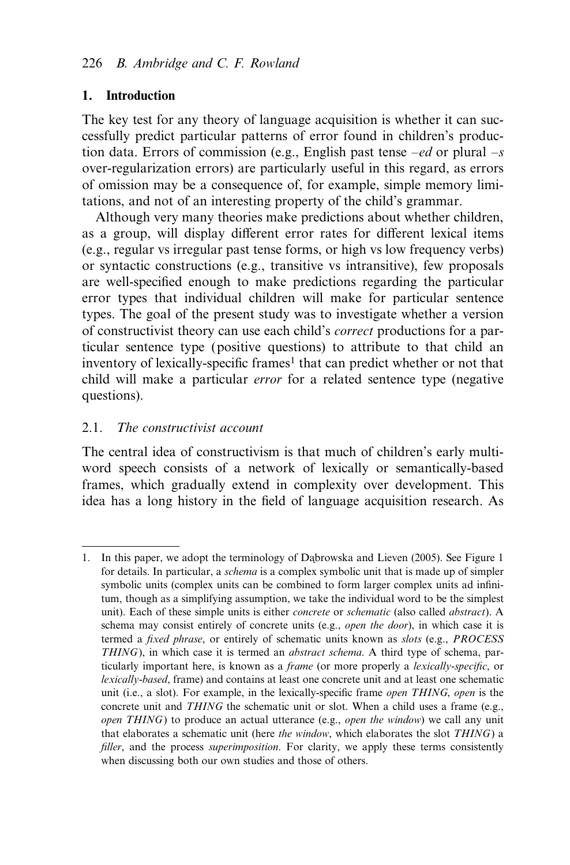# 1. Introduction

The key test for any theory of language acquisition is whether it can successfully predict particular patterns of error found in children's production data. Errors of commission (e.g., English past tense  $-ed$  or plural  $-s$ over-regularization errors) are particularly useful in this regard, as errors of omission may be a consequence of, for example, simple memory limitations, and not of an interesting property of the child's grammar.

Although very many theories make predictions about whether children, as a group, will display different error rates for different lexical items (e.g., regular vs irregular past tense forms, or high vs low frequency verbs) or syntactic constructions (e.g., transitive vs intransitive), few proposals are well-specified enough to make predictions regarding the particular error types that individual children will make for particular sentence types. The goal of the present study was to investigate whether a version of constructivist theory can use each child's correct productions for a particular sentence type (positive questions) to attribute to that child an inventory of lexically-specific frames<sup>1</sup> that can predict whether or not that child will make a particular error for a related sentence type (negative questions).

# 2.1. The constructivist account

The central idea of constructivism is that much of children's early multiword speech consists of a network of lexically or semantically-based frames, which gradually extend in complexity over development. This idea has a long history in the field of language acquisition research. As

<sup>1.</sup> In this paper, we adopt the terminology of Dabrowska and Lieven (2005). See Figure 1 for details. In particular, a schema is a complex symbolic unit that is made up of simpler symbolic units (complex units can be combined to form larger complex units ad infinitum, though as a simplifying assumption, we take the individual word to be the simplest unit). Each of these simple units is either *concrete* or *schematic* (also called *abstract*). A schema may consist entirely of concrete units (e.g., *open the door*), in which case it is termed a fixed phrase, or entirely of schematic units known as slots (e.g., PROCESS THING), in which case it is termed an abstract schema. A third type of schema, particularly important here, is known as a frame (or more properly a lexically-specific, or lexically-based, frame) and contains at least one concrete unit and at least one schematic unit (i.e., a slot). For example, in the lexically-specific frame *open THING*, *open* is the concrete unit and THING the schematic unit or slot. When a child uses a frame (e.g., *open THING*) to produce an actual utterance (e.g., *open the window*) we call any unit that elaborates a schematic unit (here the window, which elaborates the slot THING) a filler, and the process *superimposition*. For clarity, we apply these terms consistently when discussing both our own studies and those of others.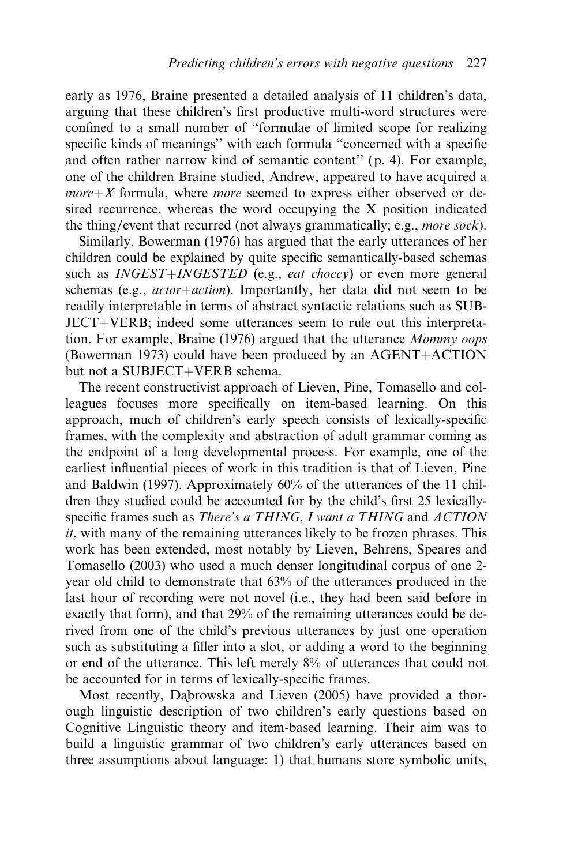early as 1976, Braine presented a detailed analysis of 11 children's data, arguing that these children's first productive multi-word structures were confined to a small number of ''formulae of limited scope for realizing specific kinds of meanings'' with each formula ''concerned with a specific and often rather narrow kind of semantic content'' (p. 4). For example, one of the children Braine studied, Andrew, appeared to have acquired a  $more+X$  formula, where *more* seemed to express either observed or desired recurrence, whereas the word occupying the X position indicated the thing/event that recurred (not always grammatically; e.g., *more sock*).

Similarly, Bowerman (1976) has argued that the early utterances of her children could be explained by quite specific semantically-based schemas such as  $INGEST+INGESTED$  (e.g., *eat choccy*) or even more general schemas (e.g., *actor*+*action*). Importantly, her data did not seem to be readily interpretable in terms of abstract syntactic relations such as SUB- $JECT+VERB$ ; indeed some utterances seem to rule out this interpretation. For example, Braine (1976) argued that the utterance Mommy oops (Bowerman 1973) could have been produced by an  $AGENT+ACTION$ but not a SUBJECT+VERB schema.

The recent constructivist approach of Lieven, Pine, Tomasello and colleagues focuses more specifically on item-based learning. On this approach, much of children's early speech consists of lexically-specific frames, with the complexity and abstraction of adult grammar coming as the endpoint of a long developmental process. For example, one of the earliest influential pieces of work in this tradition is that of Lieven, Pine and Baldwin (1997). Approximately 60% of the utterances of the 11 children they studied could be accounted for by the child's first 25 lexicallyspecific frames such as *There's a THING*, *I want a THING* and *ACTION*  $it$ , with many of the remaining utterances likely to be frozen phrases. This work has been extended, most notably by Lieven, Behrens, Speares and Tomasello (2003) who used a much denser longitudinal corpus of one 2 year old child to demonstrate that 63% of the utterances produced in the last hour of recording were not novel (i.e., they had been said before in exactly that form), and that 29% of the remaining utterances could be derived from one of the child's previous utterances by just one operation such as substituting a filler into a slot, or adding a word to the beginning or end of the utterance. This left merely 8% of utterances that could not be accounted for in terms of lexically-specific frames.

Most recently, Dabrowska and Lieven (2005) have provided a thorough linguistic description of two children's early questions based on Cognitive Linguistic theory and item-based learning. Their aim was to build a linguistic grammar of two children's early utterances based on three assumptions about language: 1) that humans store symbolic units,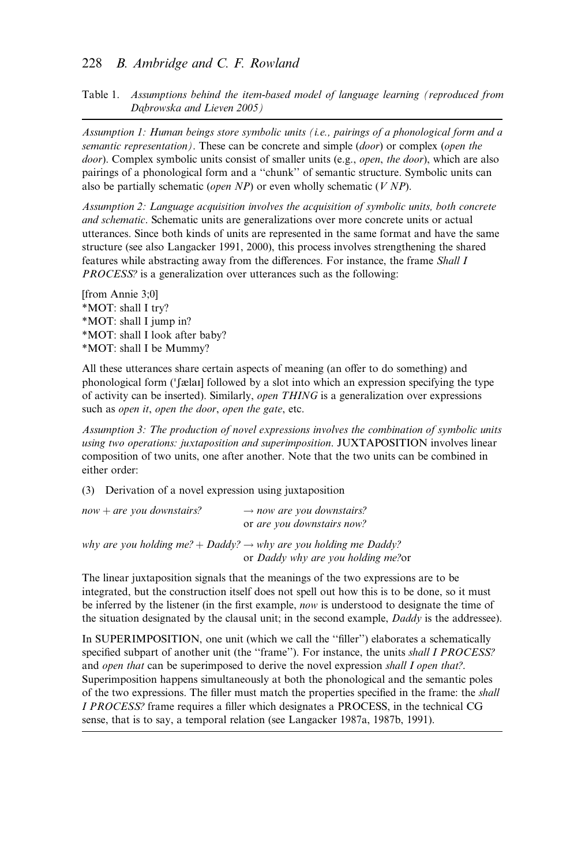#### 228 B. Ambridge and C. F. Rowland

Table 1. Assumptions behind the item-based model of language learning (reproduced from Dabrowska and Lieven 2005)

Assumption 1: Human beings store symbolic units (i.e., pairings of a phonological form and a semantic representation). These can be concrete and simple (door) or complex (open the door). Complex symbolic units consist of smaller units (e.g., open, the door), which are also pairings of a phonological form and a ''chunk'' of semantic structure. Symbolic units can also be partially schematic (*open NP*) or even wholly schematic  $(V NP)$ .

Assumption 2: Language acquisition involves the acquisition of symbolic units, both concrete and schematic. Schematic units are generalizations over more concrete units or actual utterances. Since both kinds of units are represented in the same format and have the same structure (see also Langacker 1991, 2000), this process involves strengthening the shared features while abstracting away from the differences. For instance, the frame Shall I PROCESS? is a generalization over utterances such as the following:

[from Annie 3;0] \*MOT: shall I try? \*MOT: shall I jump in? \*MOT: shall I look after baby? \*MOT: shall I be Mummy?

All these utterances share certain aspects of meaning (an offer to do something) and phonological form ( $\frac{1}{2}$ [æla1] followed by a slot into which an expression specifying the type of activity can be inserted). Similarly, open THING is a generalization over expressions such as open it, open the door, open the gate, etc.

Assumption 3: The production of novel expressions involves the combination of symbolic units using two operations: juxtaposition and superimposition. JUXTAPOSITION involves linear composition of two units, one after another. Note that the two units can be combined in either order:

(3) Derivation of a novel expression using juxtaposition

| $now + are you downstairs?$ | $\rightarrow$ now are you downstairs?<br>or are you downstairs now?                                                |
|-----------------------------|--------------------------------------------------------------------------------------------------------------------|
|                             | why are you holding me? + Daddy? $\rightarrow$ why are you holding me Daddy?<br>or Daddy why are you holding me?or |

The linear juxtaposition signals that the meanings of the two expressions are to be integrated, but the construction itself does not spell out how this is to be done, so it must be inferred by the listener (in the first example, *now* is understood to designate the time of the situation designated by the clausal unit; in the second example, *Daddy* is the addressee).

In SUPERIMPOSITION, one unit (which we call the ''filler'') elaborates a schematically specified subpart of another unit (the "frame"). For instance, the units shall I PROCESS? and *open that* can be superimposed to derive the novel expression *shall I open that?*. Superimposition happens simultaneously at both the phonological and the semantic poles of the two expressions. The filler must match the properties specified in the frame: the shall I PROCESS? frame requires a filler which designates a PROCESS, in the technical CG sense, that is to say, a temporal relation (see Langacker 1987a, 1987b, 1991).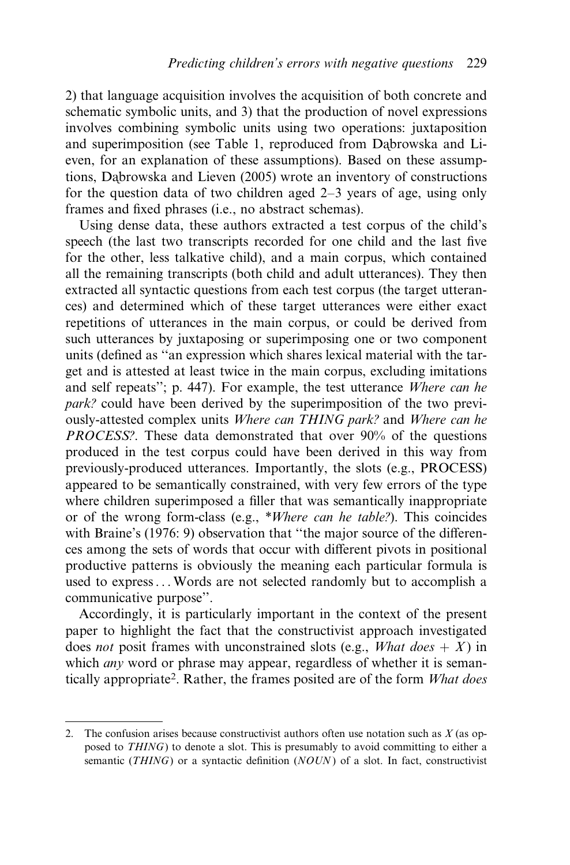2) that language acquisition involves the acquisition of both concrete and schematic symbolic units, and 3) that the production of novel expressions involves combining symbolic units using two operations: juxtaposition and superimposition (see Table 1, reproduced from Dabrowska and Lieven, for an explanation of these assumptions). Based on these assumptions, Dabrowska and Lieven (2005) wrote an inventory of constructions for the question data of two children aged 2–3 years of age, using only frames and fixed phrases (i.e., no abstract schemas).

Using dense data, these authors extracted a test corpus of the child's speech (the last two transcripts recorded for one child and the last five for the other, less talkative child), and a main corpus, which contained all the remaining transcripts (both child and adult utterances). They then extracted all syntactic questions from each test corpus (the target utterances) and determined which of these target utterances were either exact repetitions of utterances in the main corpus, or could be derived from such utterances by juxtaposing or superimposing one or two component units (defined as ''an expression which shares lexical material with the target and is attested at least twice in the main corpus, excluding imitations and self repeats''; p. 447). For example, the test utterance Where can he *park?* could have been derived by the superimposition of the two previously-attested complex units Where can THING park? and Where can he PROCESS?. These data demonstrated that over 90% of the questions produced in the test corpus could have been derived in this way from previously-produced utterances. Importantly, the slots (e.g., PROCESS) appeared to be semantically constrained, with very few errors of the type where children superimposed a filler that was semantically inappropriate or of the wrong form-class (e.g., \*Where can he table?). This coincides with Braine's  $(1976: 9)$  observation that "the major source of the differences among the sets of words that occur with different pivots in positional productive patterns is obviously the meaning each particular formula is used to express . . . Words are not selected randomly but to accomplish a communicative purpose''.

Accordingly, it is particularly important in the context of the present paper to highlight the fact that the constructivist approach investigated does not posit frames with unconstrained slots (e.g., What does  $+ X$ ) in which *any* word or phrase may appear, regardless of whether it is semantically appropriate<sup>2</sup>. Rather, the frames posited are of the form *What does* 

<sup>2.</sup> The confusion arises because constructivist authors often use notation such as  $X$  (as opposed to THING) to denote a slot. This is presumably to avoid committing to either a semantic (THING) or a syntactic definition (NOUN) of a slot. In fact, constructivist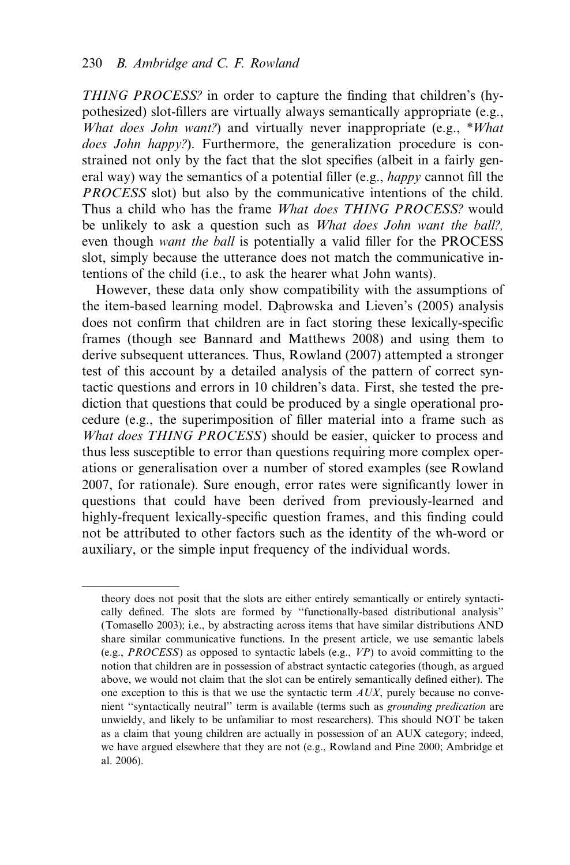THING PROCESS? in order to capture the finding that children's (hypothesized) slot-fillers are virtually always semantically appropriate (e.g., What does John want?) and virtually never inappropriate (e.g., \*What does John happy?). Furthermore, the generalization procedure is constrained not only by the fact that the slot specifies (albeit in a fairly general way) way the semantics of a potential filler (e.g., happy cannot fill the PROCESS slot) but also by the communicative intentions of the child. Thus a child who has the frame *What does THING PROCESS*? would be unlikely to ask a question such as *What does John want the ball*?, even though want the ball is potentially a valid filler for the PROCESS slot, simply because the utterance does not match the communicative intentions of the child (i.e., to ask the hearer what John wants).

However, these data only show compatibility with the assumptions of the item-based learning model. Dabrowska and Lieven's (2005) analysis does not confirm that children are in fact storing these lexically-specific frames (though see Bannard and Matthews 2008) and using them to derive subsequent utterances. Thus, Rowland (2007) attempted a stronger test of this account by a detailed analysis of the pattern of correct syntactic questions and errors in 10 children's data. First, she tested the prediction that questions that could be produced by a single operational procedure (e.g., the superimposition of filler material into a frame such as What does THING PROCESS) should be easier, quicker to process and thus less susceptible to error than questions requiring more complex operations or generalisation over a number of stored examples (see Rowland 2007, for rationale). Sure enough, error rates were significantly lower in questions that could have been derived from previously-learned and highly-frequent lexically-specific question frames, and this finding could not be attributed to other factors such as the identity of the wh-word or auxiliary, or the simple input frequency of the individual words.

theory does not posit that the slots are either entirely semantically or entirely syntactically defined. The slots are formed by ''functionally-based distributional analysis'' (Tomasello 2003); i.e., by abstracting across items that have similar distributions AND share similar communicative functions. In the present article, we use semantic labels (e.g., PROCESS) as opposed to syntactic labels (e.g., VP) to avoid committing to the notion that children are in possession of abstract syntactic categories (though, as argued above, we would not claim that the slot can be entirely semantically defined either). The one exception to this is that we use the syntactic term  $AUX$ , purely because no convenient "syntactically neutral" term is available (terms such as *grounding predication* are unwieldy, and likely to be unfamiliar to most researchers). This should NOT be taken as a claim that young children are actually in possession of an AUX category; indeed, we have argued elsewhere that they are not (e.g., Rowland and Pine 2000; Ambridge et al. 2006).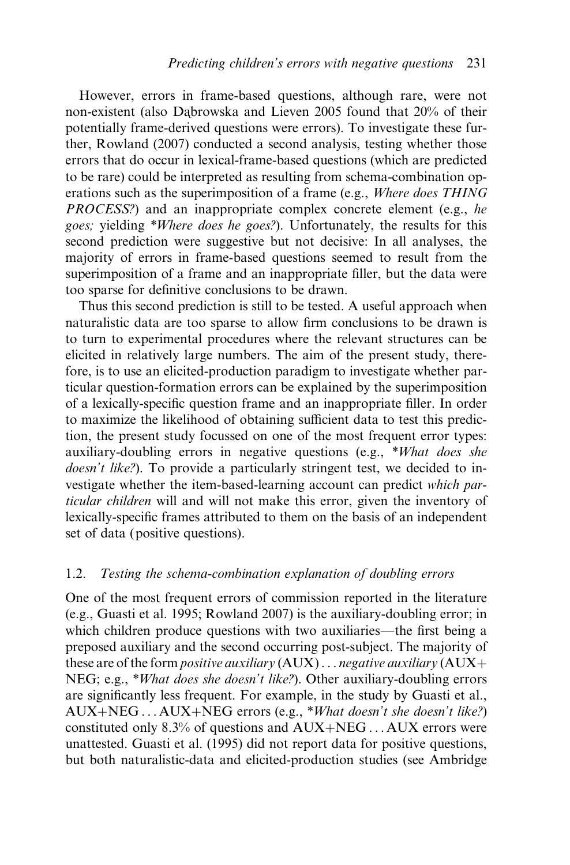However, errors in frame-based questions, although rare, were not non-existent (also Dabrowska and Lieven 2005 found that 20% of their potentially frame-derived questions were errors). To investigate these further, Rowland (2007) conducted a second analysis, testing whether those errors that do occur in lexical-frame-based questions (which are predicted to be rare) could be interpreted as resulting from schema-combination operations such as the superimposition of a frame (e.g., Where does THING PROCESS?) and an inappropriate complex concrete element (e.g., he goes; yielding \*Where does he goes?). Unfortunately, the results for this second prediction were suggestive but not decisive: In all analyses, the majority of errors in frame-based questions seemed to result from the superimposition of a frame and an inappropriate filler, but the data were too sparse for definitive conclusions to be drawn.

Thus this second prediction is still to be tested. A useful approach when naturalistic data are too sparse to allow firm conclusions to be drawn is to turn to experimental procedures where the relevant structures can be elicited in relatively large numbers. The aim of the present study, therefore, is to use an elicited-production paradigm to investigate whether particular question-formation errors can be explained by the superimposition of a lexically-specific question frame and an inappropriate filler. In order to maximize the likelihood of obtaining sufficient data to test this prediction, the present study focussed on one of the most frequent error types: auxiliary-doubling errors in negative questions (e.g., \*What does she doesn't like?). To provide a particularly stringent test, we decided to investigate whether the item-based-learning account can predict which particular children will and will not make this error, given the inventory of lexically-specific frames attributed to them on the basis of an independent set of data (positive questions).

# 1.2. Testing the schema-combination explanation of doubling errors

One of the most frequent errors of commission reported in the literature (e.g., Guasti et al. 1995; Rowland 2007) is the auxiliary-doubling error; in which children produce questions with two auxiliaries—the first being a preposed auxiliary and the second occurring post-subject. The majority of these are of the form *positive auxiliary*  $(AUX) \dots$  *negative auxiliary*  $(AUX +$ NEG; e.g., \*What does she doesn't like?). Other auxiliary-doubling errors are significantly less frequent. For example, in the study by Guasti et al.,  $AUX + NEG...AUX + NEG$  errors (e.g., \*What doesn't she doesn't like?) constituted only 8.3% of questions and  $AUX+NEG...AUX$  errors were unattested. Guasti et al. (1995) did not report data for positive questions, but both naturalistic-data and elicited-production studies (see Ambridge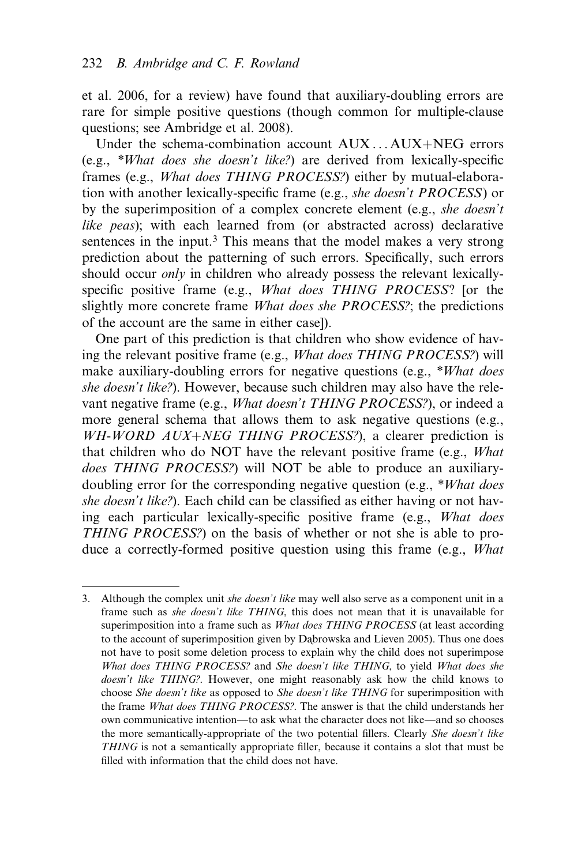et al. 2006, for a review) have found that auxiliary-doubling errors are rare for simple positive questions (though common for multiple-clause questions; see Ambridge et al. 2008).

Under the schema-combination account  $AUX = AUX + NEG$  errors (e.g., \*What does she doesn't like?) are derived from lexically-specific frames (e.g., What does THING PROCESS?) either by mutual-elaboration with another lexically-specific frame (e.g., she doesn't PROCESS) or by the superimposition of a complex concrete element (e.g., she doesn't like peas); with each learned from (or abstracted across) declarative sentences in the input.<sup>3</sup> This means that the model makes a very strong prediction about the patterning of such errors. Specifically, such errors should occur *only* in children who already possess the relevant lexicallyspecific positive frame (e.g., *What does THING PROCESS*? [or the slightly more concrete frame *What does she PROCESS*?; the predictions of the account are the same in either case]).

One part of this prediction is that children who show evidence of having the relevant positive frame (e.g., What does THING PROCESS?) will make auxiliary-doubling errors for negative questions (e.g., \**What does* she doesn't like?). However, because such children may also have the relevant negative frame (e.g., *What doesn't THING PROCESS?*), or indeed a more general schema that allows them to ask negative questions (e.g.,  $WH-WORD$   $AUX+NEG$  THING PROCESS?), a clearer prediction is that children who do NOT have the relevant positive frame (e.g., What does THING PROCESS?) will NOT be able to produce an auxiliarydoubling error for the corresponding negative question (e.g., \**What does* she doesn't like?). Each child can be classified as either having or not having each particular lexically-specific positive frame (e.g., What does THING PROCESS?) on the basis of whether or not she is able to produce a correctly-formed positive question using this frame (e.g., What

<sup>3.</sup> Although the complex unit she doesn't like may well also serve as a component unit in a frame such as she doesn't like THING, this does not mean that it is unavailable for superimposition into a frame such as What does THING PROCESS (at least according to the account of superimposition given by Dabrowska and Lieven 2005). Thus one does not have to posit some deletion process to explain why the child does not superimpose What does THING PROCESS? and She doesn't like THING, to yield What does she doesn't like THING?. However, one might reasonably ask how the child knows to choose She doesn't like as opposed to She doesn't like THING for superimposition with the frame What does THING PROCESS?. The answer is that the child understands her own communicative intention—to ask what the character does not like—and so chooses the more semantically-appropriate of the two potential fillers. Clearly She doesn't like THING is not a semantically appropriate filler, because it contains a slot that must be filled with information that the child does not have.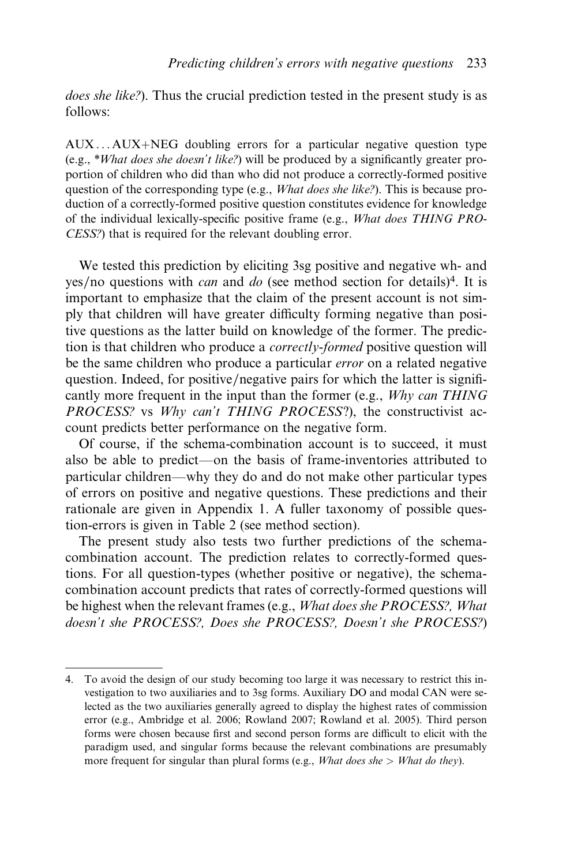does she like?). Thus the crucial prediction tested in the present study is as follows:

 $AUX...AUX+NEG$  doubling errors for a particular negative question type (e.g., \*What does she doesn't like?) will be produced by a significantly greater proportion of children who did than who did not produce a correctly-formed positive question of the corresponding type (e.g., *What does she like?*). This is because production of a correctly-formed positive question constitutes evidence for knowledge of the individual lexically-specific positive frame (e.g., What does THING PRO-CESS?) that is required for the relevant doubling error.

We tested this prediction by eliciting 3sg positive and negative wh- and yes/no questions with *can* and *do* (see method section for details)<sup>4</sup>. It is important to emphasize that the claim of the present account is not simply that children will have greater difficulty forming negative than positive questions as the latter build on knowledge of the former. The prediction is that children who produce a correctly-formed positive question will be the same children who produce a particular error on a related negative question. Indeed, for positive/negative pairs for which the latter is significantly more frequent in the input than the former (e.g., Why can THING PROCESS? vs Why can't THING PROCESS?), the constructivist account predicts better performance on the negative form.

Of course, if the schema-combination account is to succeed, it must also be able to predict—on the basis of frame-inventories attributed to particular children—why they do and do not make other particular types of errors on positive and negative questions. These predictions and their rationale are given in Appendix 1. A fuller taxonomy of possible question-errors is given in Table 2 (see method section).

The present study also tests two further predictions of the schemacombination account. The prediction relates to correctly-formed questions. For all question-types (whether positive or negative), the schemacombination account predicts that rates of correctly-formed questions will be highest when the relevant frames (e.g., What does she PROCESS?, What doesn't she PROCESS?, Does she PROCESS?, Doesn't she PROCESS?)

<sup>4.</sup> To avoid the design of our study becoming too large it was necessary to restrict this investigation to two auxiliaries and to 3sg forms. Auxiliary DO and modal CAN were selected as the two auxiliaries generally agreed to display the highest rates of commission error (e.g., Ambridge et al. 2006; Rowland 2007; Rowland et al. 2005). Third person forms were chosen because first and second person forms are difficult to elicit with the paradigm used, and singular forms because the relevant combinations are presumably more frequent for singular than plural forms (e.g., *What does she > What do they*).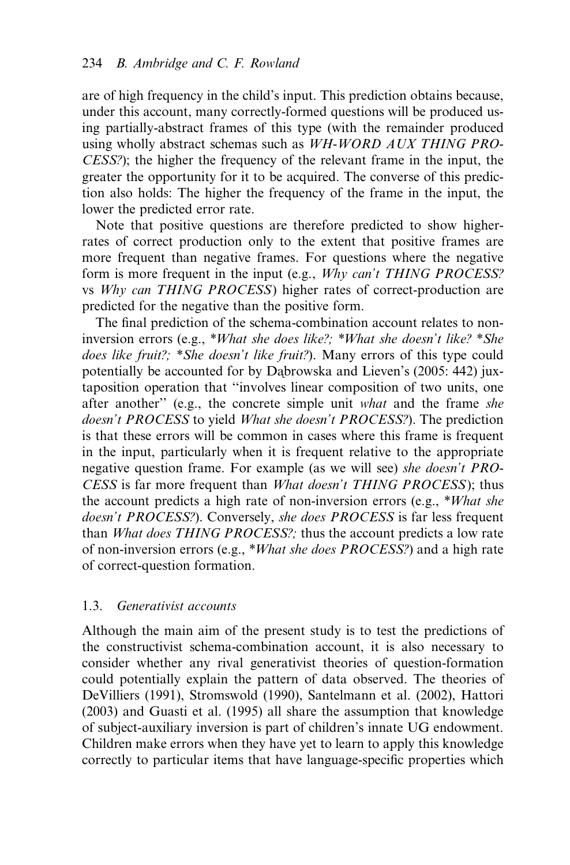are of high frequency in the child's input. This prediction obtains because, under this account, many correctly-formed questions will be produced using partially-abstract frames of this type (with the remainder produced using wholly abstract schemas such as WH-WORD AUX THING PRO-CESS?); the higher the frequency of the relevant frame in the input, the greater the opportunity for it to be acquired. The converse of this prediction also holds: The higher the frequency of the frame in the input, the lower the predicted error rate.

Note that positive questions are therefore predicted to show higherrates of correct production only to the extent that positive frames are more frequent than negative frames. For questions where the negative form is more frequent in the input (e.g., Why can't THING PROCESS? vs Why can THING PROCESS) higher rates of correct-production are predicted for the negative than the positive form.

The final prediction of the schema-combination account relates to noninversion errors (e.g., \*What she does like?; \*What she doesn't like? \*She does like fruit?; \*She doesn't like fruit?). Many errors of this type could potentially be accounted for by Dabrowska and Lieven's (2005: 442) juxtaposition operation that ''involves linear composition of two units, one after another'' (e.g., the concrete simple unit what and the frame she doesn't PROCESS to yield What she doesn't PROCESS?). The prediction is that these errors will be common in cases where this frame is frequent in the input, particularly when it is frequent relative to the appropriate negative question frame. For example (as we will see) she doesn't PRO-CESS is far more frequent than What doesn't THING PROCESS); thus the account predicts a high rate of non-inversion errors (e.g., \*What she doesn't PROCESS?). Conversely, she does PROCESS is far less frequent than What does THING PROCESS?; thus the account predicts a low rate of non-inversion errors (e.g., \*What she does PROCESS?) and a high rate of correct-question formation.

# 1.3. Generativist accounts

Although the main aim of the present study is to test the predictions of the constructivist schema-combination account, it is also necessary to consider whether any rival generativist theories of question-formation could potentially explain the pattern of data observed. The theories of DeVilliers (1991), Stromswold (1990), Santelmann et al. (2002), Hattori (2003) and Guasti et al. (1995) all share the assumption that knowledge of subject-auxiliary inversion is part of children's innate UG endowment. Children make errors when they have yet to learn to apply this knowledge correctly to particular items that have language-specific properties which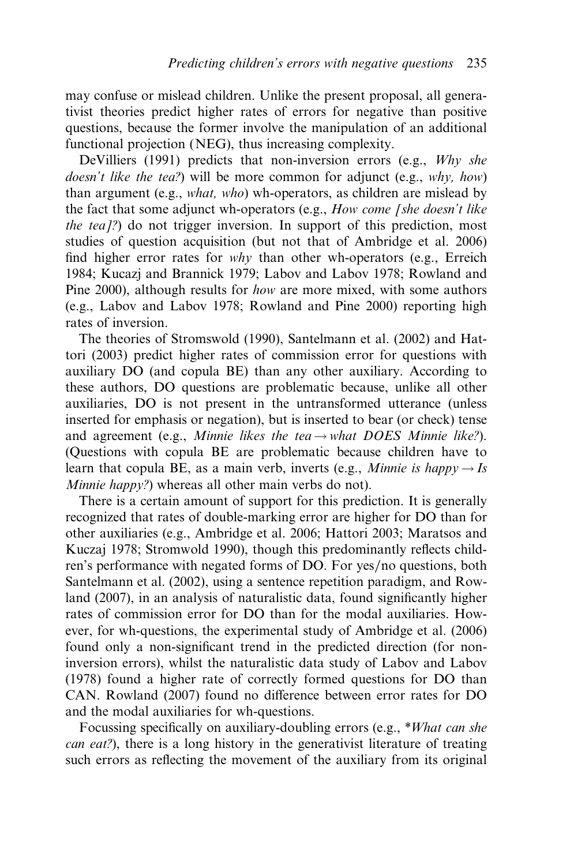may confuse or mislead children. Unlike the present proposal, all generativist theories predict higher rates of errors for negative than positive questions, because the former involve the manipulation of an additional functional projection (NEG), thus increasing complexity.

DeVilliers (1991) predicts that non-inversion errors (e.g., Why she doesn't like the tea?) will be more common for adjunct (e.g., why, how) than argument (e.g., what, who) wh-operators, as children are mislead by the fact that some adjunct wh-operators (e.g., How come [she doesn't like the tea<sub>l</sub>?) do not trigger inversion. In support of this prediction, most studies of question acquisition (but not that of Ambridge et al. 2006) find higher error rates for why than other wh-operators (e.g., Erreich 1984; Kucazj and Brannick 1979; Labov and Labov 1978; Rowland and Pine 2000), although results for *how* are more mixed, with some authors (e.g., Labov and Labov 1978; Rowland and Pine 2000) reporting high rates of inversion.

The theories of Stromswold (1990), Santelmann et al. (2002) and Hattori (2003) predict higher rates of commission error for questions with auxiliary DO (and copula BE) than any other auxiliary. According to these authors, DO questions are problematic because, unlike all other auxiliaries, DO is not present in the untransformed utterance (unless inserted for emphasis or negation), but is inserted to bear (or check) tense and agreement (e.g., Minnie likes the tea  $\rightarrow$  what DOES Minnie like?). (Questions with copula BE are problematic because children have to learn that copula BE, as a main verb, inverts (e.g., *Minnie is happy*  $\rightarrow$  *Is* Minnie happy?) whereas all other main verbs do not).

There is a certain amount of support for this prediction. It is generally recognized that rates of double-marking error are higher for DO than for other auxiliaries (e.g., Ambridge et al. 2006; Hattori 2003; Maratsos and Kuczaj 1978; Stromwold 1990), though this predominantly reflects children's performance with negated forms of DO. For yes/no questions, both Santelmann et al. (2002), using a sentence repetition paradigm, and Rowland (2007), in an analysis of naturalistic data, found significantly higher rates of commission error for DO than for the modal auxiliaries. However, for wh-questions, the experimental study of Ambridge et al. (2006) found only a non-significant trend in the predicted direction (for noninversion errors), whilst the naturalistic data study of Labov and Labov (1978) found a higher rate of correctly formed questions for DO than CAN. Rowland (2007) found no difference between error rates for DO and the modal auxiliaries for wh-questions.

Focussing specifically on auxiliary-doubling errors (e.g., \**What can she* can eat?), there is a long history in the generativist literature of treating such errors as reflecting the movement of the auxiliary from its original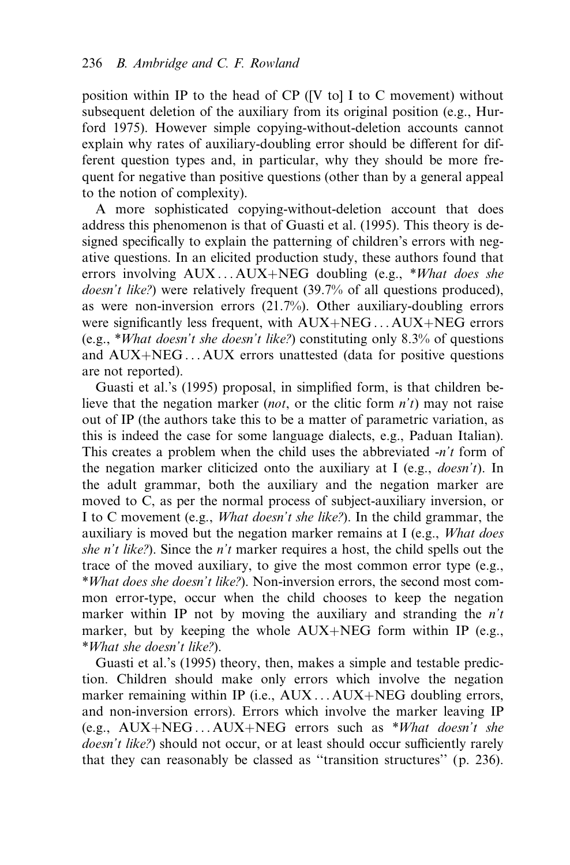position within IP to the head of CP ([V to] I to C movement) without subsequent deletion of the auxiliary from its original position (e.g., Hurford 1975). However simple copying-without-deletion accounts cannot explain why rates of auxiliary-doubling error should be different for different question types and, in particular, why they should be more frequent for negative than positive questions (other than by a general appeal to the notion of complexity).

A more sophisticated copying-without-deletion account that does address this phenomenon is that of Guasti et al. (1995). This theory is designed specifically to explain the patterning of children's errors with negative questions. In an elicited production study, these authors found that errors involving  $AUX \dots AUX + NEG$  doubling (e.g., \*What does she doesn't like?) were relatively frequent (39.7% of all questions produced), as were non-inversion errors  $(21.7%)$ . Other auxiliary-doubling errors were significantly less frequent, with  $AUX+NEG$  . .  $AUX+NEG$  errors (e.g., \*What doesn't she doesn't like?) constituting only 8.3% of questions and  $AUX+NEG$ ... $AUX$  errors unattested (data for positive questions are not reported).

Guasti et al.'s (1995) proposal, in simplified form, is that children believe that the negation marker (*not*, or the clitic form  $n't$ ) may not raise out of IP (the authors take this to be a matter of parametric variation, as this is indeed the case for some language dialects, e.g., Paduan Italian). This creates a problem when the child uses the abbreviated -n't form of the negation marker cliticized onto the auxiliary at I (e.g.,  $doesn't$ ). In the adult grammar, both the auxiliary and the negation marker are moved to C, as per the normal process of subject-auxiliary inversion, or I to C movement (e.g., What doesn't she like?). In the child grammar, the auxiliary is moved but the negation marker remains at I (e.g., What does she n't like?). Since the n't marker requires a host, the child spells out the trace of the moved auxiliary, to give the most common error type (e.g., \*What does she doesn't like?). Non-inversion errors, the second most common error-type, occur when the child chooses to keep the negation marker within IP not by moving the auxiliary and stranding the  $n't$ marker, but by keeping the whole  $AUX+NEG$  form within IP (e.g., \*What she doesn't like?).

Guasti et al.'s (1995) theory, then, makes a simple and testable prediction. Children should make only errors which involve the negation marker remaining within IP (i.e.,  $AUX \dots AUX + NEG$  doubling errors, and non-inversion errors). Errors which involve the marker leaving IP (e.g.,  $AUX+NEG...AUX+NEG$  errors such as \*What doesn't she  $doesn't like?$ ) should not occur, or at least should occur sufficiently rarely that they can reasonably be classed as ''transition structures'' (p. 236).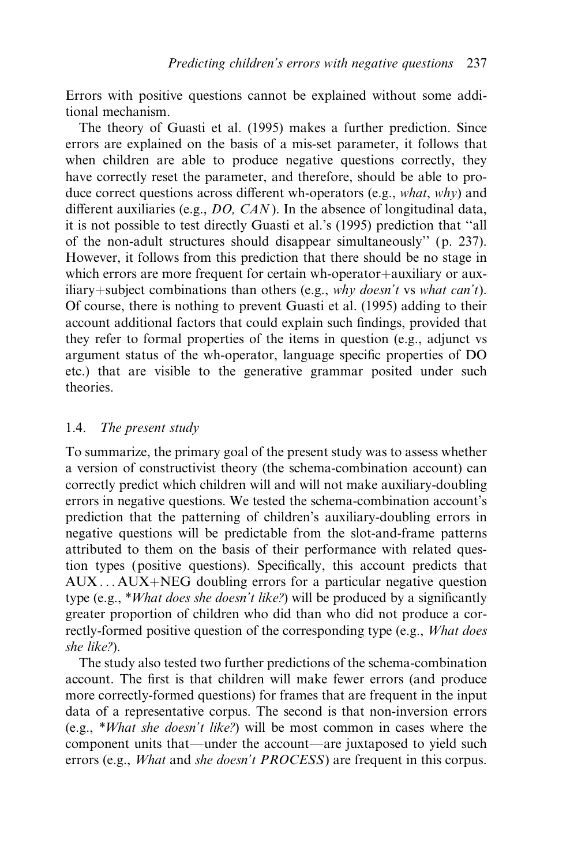Errors with positive questions cannot be explained without some additional mechanism.

The theory of Guasti et al. (1995) makes a further prediction. Since errors are explained on the basis of a mis-set parameter, it follows that when children are able to produce negative questions correctly, they have correctly reset the parameter, and therefore, should be able to produce correct questions across different wh-operators (e.g., *what, why*) and different auxiliaries (e.g.,  $DO$ ,  $CAN$ ). In the absence of longitudinal data, it is not possible to test directly Guasti et al.'s (1995) prediction that ''all of the non-adult structures should disappear simultaneously'' (p. 237). However, it follows from this prediction that there should be no stage in which errors are more frequent for certain wh-operator+auxiliary or auxiliary+subject combinations than others (e.g., why doesn't vs what can't). Of course, there is nothing to prevent Guasti et al. (1995) adding to their account additional factors that could explain such findings, provided that they refer to formal properties of the items in question (e.g., adjunct vs argument status of the wh-operator, language specific properties of DO etc.) that are visible to the generative grammar posited under such theories.

# 1.4. The present study

To summarize, the primary goal of the present study was to assess whether a version of constructivist theory (the schema-combination account) can correctly predict which children will and will not make auxiliary-doubling errors in negative questions. We tested the schema-combination account's prediction that the patterning of children's auxiliary-doubling errors in negative questions will be predictable from the slot-and-frame patterns attributed to them on the basis of their performance with related question types (positive questions). Specifically, this account predicts that  $AUX \dots AUX + NEG$  doubling errors for a particular negative question type (e.g., \*What does she doesn't like?) will be produced by a significantly greater proportion of children who did than who did not produce a correctly-formed positive question of the corresponding type (e.g., What does she like?).

The study also tested two further predictions of the schema-combination account. The first is that children will make fewer errors (and produce more correctly-formed questions) for frames that are frequent in the input data of a representative corpus. The second is that non-inversion errors (e.g., \**What she doesn't like*?) will be most common in cases where the component units that—under the account—are juxtaposed to yield such errors (e.g., *What and she doesn't PROCESS*) are frequent in this corpus.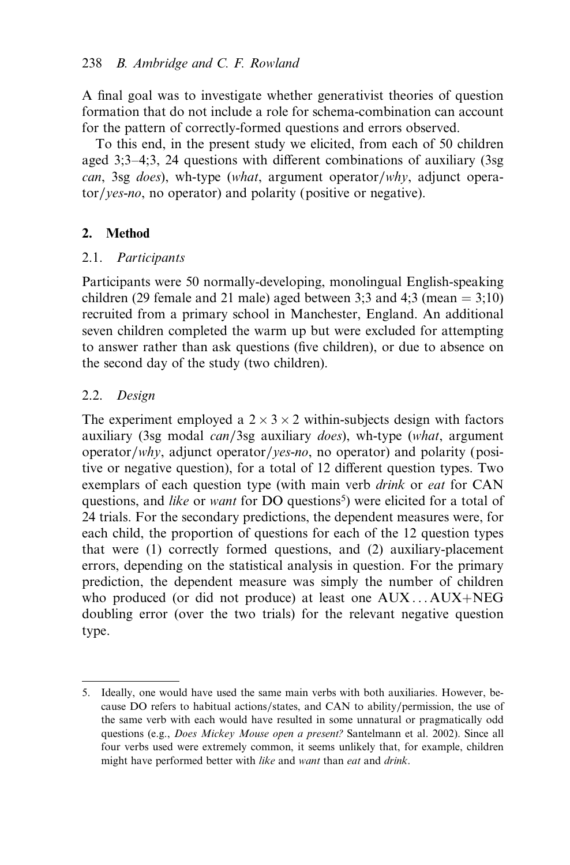A final goal was to investigate whether generativist theories of question formation that do not include a role for schema-combination can account for the pattern of correctly-formed questions and errors observed.

To this end, in the present study we elicited, from each of 50 children aged  $3:3-4:3$ , 24 questions with different combinations of auxiliary (3sg) can, 3sg does), wh-type (what, argument operator/why, adjunct operator/yes-no, no operator) and polarity (positive or negative).

# 2. Method

# 2.1. Participants

Participants were 50 normally-developing, monolingual English-speaking children (29 female and 21 male) aged between 3;3 and 4;3 (mean  $= 3;10$ ) recruited from a primary school in Manchester, England. An additional seven children completed the warm up but were excluded for attempting to answer rather than ask questions (five children), or due to absence on the second day of the study (two children).

# 2.2. Design

The experiment employed a  $2 \times 3 \times 2$  within-subjects design with factors auxiliary (3sg modal can/3sg auxiliary does), wh-type (what, argument operator/why, adjunct operator/yes-no, no operator) and polarity (positive or negative question), for a total of 12 different question types. Two exemplars of each question type (with main verb *drink* or *eat* for CAN questions, and *like* or *want* for DO questions<sup>5</sup>) were elicited for a total of 24 trials. For the secondary predictions, the dependent measures were, for each child, the proportion of questions for each of the 12 question types that were (1) correctly formed questions, and (2) auxiliary-placement errors, depending on the statistical analysis in question. For the primary prediction, the dependent measure was simply the number of children who produced (or did not produce) at least one  $AUX...AUX+NEG$ doubling error (over the two trials) for the relevant negative question type.

<sup>5.</sup> Ideally, one would have used the same main verbs with both auxiliaries. However, because DO refers to habitual actions/states, and CAN to ability/permission, the use of the same verb with each would have resulted in some unnatural or pragmatically odd questions (e.g., *Does Mickey Mouse open a present?* Santelmann et al. 2002). Since all four verbs used were extremely common, it seems unlikely that, for example, children might have performed better with like and want than eat and drink.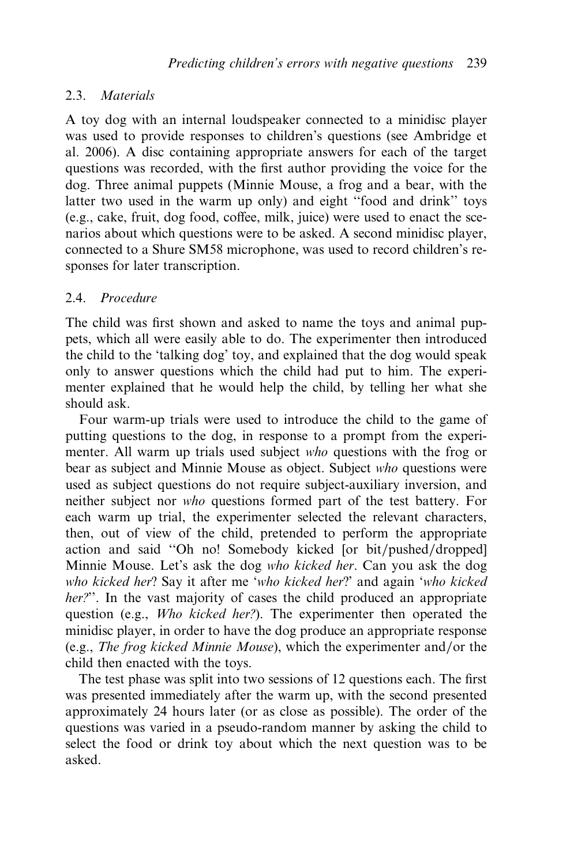# 2.3. Materials

A toy dog with an internal loudspeaker connected to a minidisc player was used to provide responses to children's questions (see Ambridge et al. 2006). A disc containing appropriate answers for each of the target questions was recorded, with the first author providing the voice for the dog. Three animal puppets (Minnie Mouse, a frog and a bear, with the latter two used in the warm up only) and eight ''food and drink'' toys  $(e.g.,\,, \text{cake},\, \text{fruit},\, \text{dog food},\, \text{cofree},\, \text{milk},\, \text{juice})$  were used to enact the scenarios about which questions were to be asked. A second minidisc player, connected to a Shure SM58 microphone, was used to record children's responses for later transcription.

# 2.4. Procedure

The child was first shown and asked to name the toys and animal puppets, which all were easily able to do. The experimenter then introduced the child to the 'talking dog' toy, and explained that the dog would speak only to answer questions which the child had put to him. The experimenter explained that he would help the child, by telling her what she should ask.

Four warm-up trials were used to introduce the child to the game of putting questions to the dog, in response to a prompt from the experimenter. All warm up trials used subject *who* questions with the frog or bear as subject and Minnie Mouse as object. Subject who questions were used as subject questions do not require subject-auxiliary inversion, and neither subject nor who questions formed part of the test battery. For each warm up trial, the experimenter selected the relevant characters, then, out of view of the child, pretended to perform the appropriate action and said ''Oh no! Somebody kicked [or bit/pushed/dropped] Minnie Mouse. Let's ask the dog who kicked her. Can you ask the dog who kicked her? Say it after me 'who kicked her?' and again 'who kicked her?". In the vast majority of cases the child produced an appropriate question (e.g., Who kicked her?). The experimenter then operated the minidisc player, in order to have the dog produce an appropriate response (e.g., The frog kicked Minnie Mouse), which the experimenter and/or the child then enacted with the toys.

The test phase was split into two sessions of 12 questions each. The first was presented immediately after the warm up, with the second presented approximately 24 hours later (or as close as possible). The order of the questions was varied in a pseudo-random manner by asking the child to select the food or drink toy about which the next question was to be asked.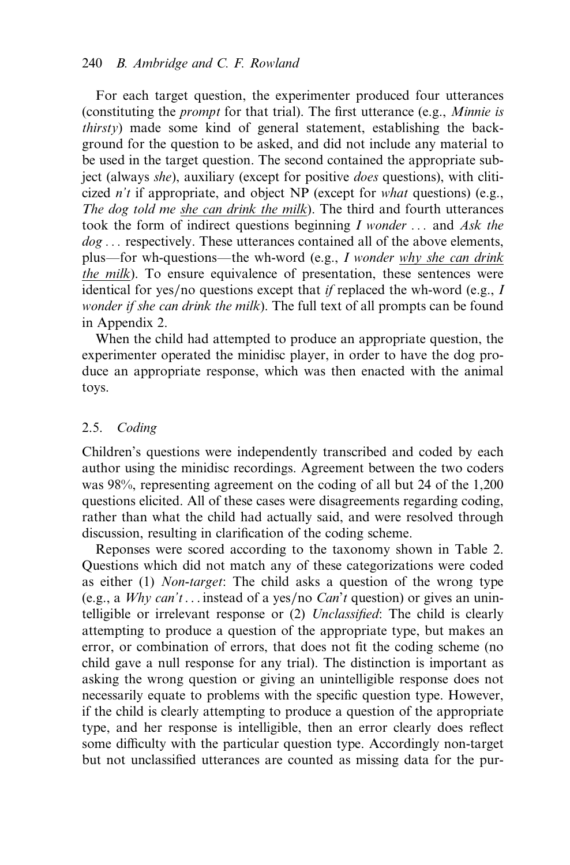# 240 B. Ambridge and C. F. Rowland

For each target question, the experimenter produced four utterances (constituting the prompt for that trial). The first utterance (e.g., Minnie is thirsty) made some kind of general statement, establishing the background for the question to be asked, and did not include any material to be used in the target question. The second contained the appropriate subject (always she), auxiliary (except for positive does questions), with cliticized  $n't$  if appropriate, and object NP (except for *what* questions) (e.g., The dog told me she can drink the milk). The third and fourth utterances took the form of indirect questions beginning  $I$  wonder ... and Ask the  $dog \dots$  respectively. These utterances contained all of the above elements, plus—for wh-questions—the wh-word (e.g., I wonder why she can drink *the milk*). To ensure equivalence of presentation, these sentences were identical for yes/no questions except that *if* replaced the wh-word (e.g.,  $I$ wonder if she can drink the milk). The full text of all prompts can be found in Appendix 2.

When the child had attempted to produce an appropriate question, the experimenter operated the minidisc player, in order to have the dog produce an appropriate response, which was then enacted with the animal toys.

# 2.5. Coding

Children's questions were independently transcribed and coded by each author using the minidisc recordings. Agreement between the two coders was 98%, representing agreement on the coding of all but 24 of the 1,200 questions elicited. All of these cases were disagreements regarding coding, rather than what the child had actually said, and were resolved through discussion, resulting in clarification of the coding scheme.

Reponses were scored according to the taxonomy shown in Table 2. Questions which did not match any of these categorizations were coded as either (1) Non-target: The child asks a question of the wrong type (e.g., a *Why can't* ... instead of a yes/no *Can't* question) or gives an unintelligible or irrelevant response or (2) Unclassified: The child is clearly attempting to produce a question of the appropriate type, but makes an error, or combination of errors, that does not fit the coding scheme (no child gave a null response for any trial). The distinction is important as asking the wrong question or giving an unintelligible response does not necessarily equate to problems with the specific question type. However, if the child is clearly attempting to produce a question of the appropriate type, and her response is intelligible, then an error clearly does reflect some difficulty with the particular question type. Accordingly non-target but not unclassified utterances are counted as missing data for the pur-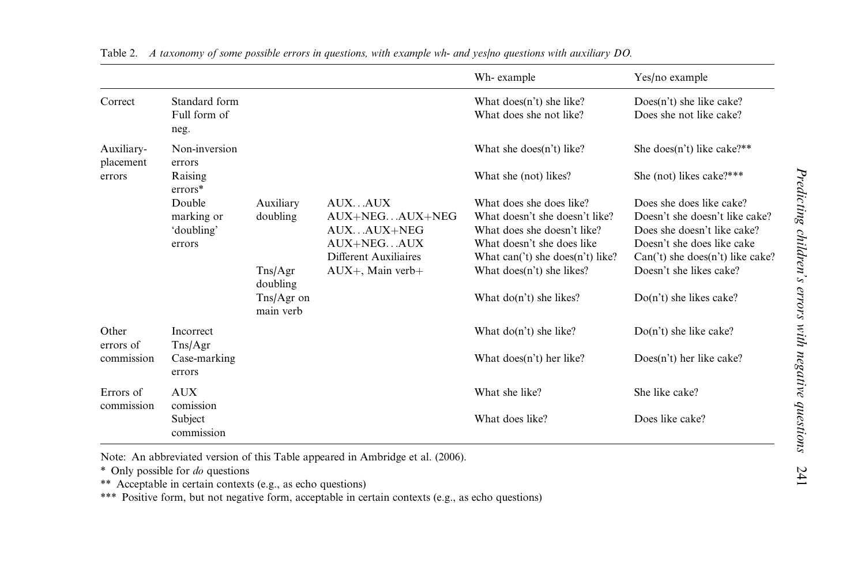|                         |                                       |                           |                       | Wh-example                                            | Yes/no example                                        |
|-------------------------|---------------------------------------|---------------------------|-----------------------|-------------------------------------------------------|-------------------------------------------------------|
| Correct                 | Standard form<br>Full form of<br>neg. |                           |                       | What $does(n't)$ she like?<br>What does she not like? | $Does(n't)$ she like cake?<br>Does she not like cake? |
| Auxiliary-<br>placement | Non-inversion<br>errors               |                           |                       | What she does(n't) like?                              | She does(n't) like cake?**                            |
| errors                  | Raising<br>$errors*$                  |                           |                       | What she (not) likes?                                 | She (not) likes cake?***                              |
|                         | Double                                | Auxiliary                 | AUXAUX                | What does she does like?                              | Does she does like cake?                              |
|                         | marking or                            | doubling                  | AUX+NEGAUX+NEG        | What doesn't she doesn't like?                        | Doesn't she doesn't like cake?                        |
|                         | 'doubling'                            |                           | AUXAUX+NEG            | What does she doesn't like?                           | Does she doesn't like cake?                           |
|                         | errors                                |                           | AUX+NEGAUX            | What doesn't she does like                            | Doesn't she does like cake                            |
|                         |                                       |                           | Different Auxiliaires | What $can('t)$ she $does(n't)$ like?                  | $Can('t)$ she does(n't) like cake?                    |
|                         |                                       | Tns/Agr<br>doubling       | $AUX+$ , Main verb+   | What $does(n't)$ she likes?                           | Doesn't she likes cake?                               |
|                         |                                       | $Tns/Agr$ on<br>main verb |                       | What $do(n't)$ she likes?                             | $Do(n't)$ she likes cake?                             |
| Other<br>errors of      | Incorrect<br>Tns/Agr                  |                           |                       | What $do(n't)$ she like?                              | $Do(n't)$ she like cake?                              |
| commission              | Case-marking<br>errors                |                           |                       | What $does(n't)$ her like?                            | Does(n't) her like cake?                              |
| Errors of<br>commission | <b>AUX</b><br>comission               |                           |                       | What she like?                                        | She like cake?                                        |
|                         | Subject<br>commission                 |                           |                       | What does like?                                       | Does like cake?                                       |

Table 2. A taxonomy of some possible errors in questions, with example wh- and yes/no questions with auxiliary DO.

Note: An abbreviated version of this Table appeared in Ambridge et al. (2006).

\* Only possible for *do* questions

\*\* Acceptable in certain contexts (e.g., as echo questions)

\*\*\* Positive form, but not negative form, acceptable in certain contexts (e.g., as echo questions)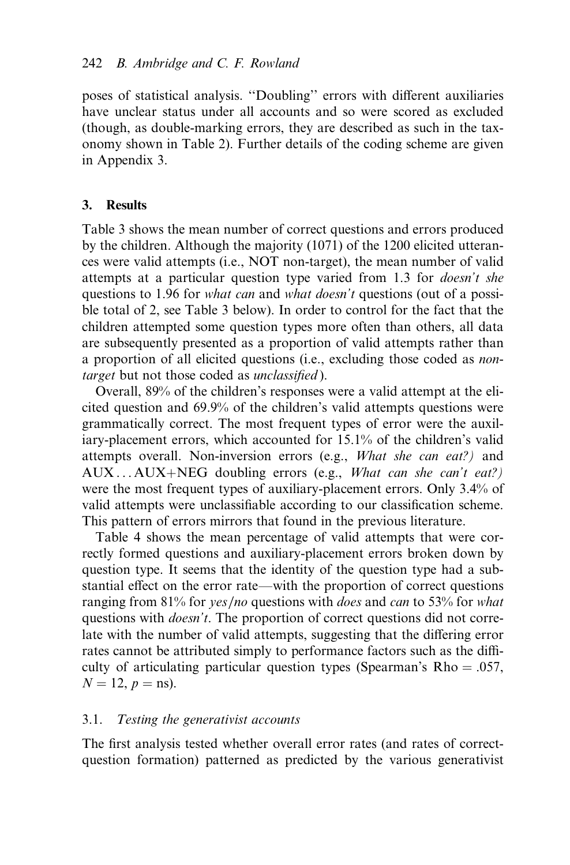poses of statistical analysis. "Doubling" errors with different auxiliaries have unclear status under all accounts and so were scored as excluded (though, as double-marking errors, they are described as such in the taxonomy shown in Table 2). Further details of the coding scheme are given in Appendix 3.

# 3. Results

Table 3 shows the mean number of correct questions and errors produced by the children. Although the majority (1071) of the 1200 elicited utterances were valid attempts (i.e., NOT non-target), the mean number of valid attempts at a particular question type varied from 1.3 for doesn't she questions to 1.96 for what can and what doesn't questions (out of a possible total of 2, see Table 3 below). In order to control for the fact that the children attempted some question types more often than others, all data are subsequently presented as a proportion of valid attempts rather than a proportion of all elicited questions (i.e., excluding those coded as nontarget but not those coded as unclassified).

Overall, 89% of the children's responses were a valid attempt at the elicited question and 69.9% of the children's valid attempts questions were grammatically correct. The most frequent types of error were the auxiliary-placement errors, which accounted for 15.1% of the children's valid attempts overall. Non-inversion errors (e.g., What she can eat?) and  $AUX \dots AUX + NEG$  doubling errors (e.g., What can she can't eat?) were the most frequent types of auxiliary-placement errors. Only 3.4% of valid attempts were unclassifiable according to our classification scheme. This pattern of errors mirrors that found in the previous literature.

Table 4 shows the mean percentage of valid attempts that were correctly formed questions and auxiliary-placement errors broken down by question type. It seems that the identity of the question type had a substantial effect on the error rate—with the proportion of correct questions ranging from 81% for yes/no questions with does and can to 53% for what questions with *doesn't*. The proportion of correct questions did not correlate with the number of valid attempts, suggesting that the differing error rates cannot be attributed simply to performance factors such as the difficulty of articulating particular question types (Spearman's Rho  $= .057$ ,  $N = 12, p = ns$ ).

# 3.1. Testing the generativist accounts

The first analysis tested whether overall error rates (and rates of correctquestion formation) patterned as predicted by the various generativist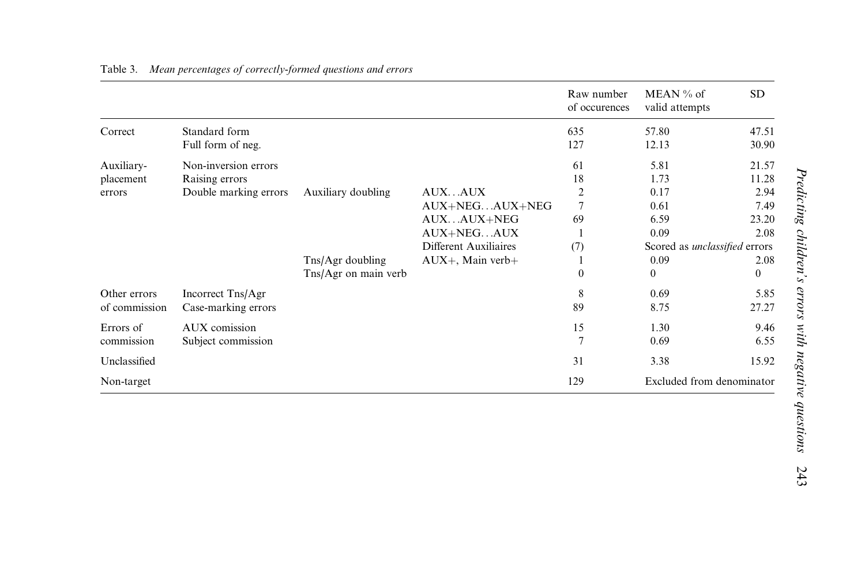|               |                       |                      |                       | Raw number<br>of occurences | MEAN $%$ of<br>valid attempts        | SD.          |
|---------------|-----------------------|----------------------|-----------------------|-----------------------------|--------------------------------------|--------------|
| Correct       | Standard form         |                      |                       | 635                         | 57.80                                | 47.51        |
|               | Full form of neg.     |                      |                       | 127                         | 12.13                                | 30.90        |
| Auxiliary-    | Non-inversion errors  |                      |                       | 61                          | 5.81                                 | 21.57        |
| placement     | Raising errors        |                      |                       | 18                          | 1.73                                 | 11.28        |
| errors        | Double marking errors | Auxiliary doubling   | AUXAUX                | 2                           | 0.17                                 | 2.94         |
|               |                       |                      | AUX+NEGAUX+NEG        | 7                           | 0.61                                 | 7.49         |
|               |                       |                      | AUXAUX+NEG            | 69                          | 6.59                                 | 23.20        |
|               |                       |                      | AUX+NEGAUX            |                             | 0.09                                 | 2.08         |
|               |                       |                      | Different Auxiliaires | (7)                         | Scored as <i>unclassified</i> errors |              |
|               |                       | Tns/Agr doubling     | $AUX+$ , Main verb+   |                             | 0.09                                 | 2.08         |
|               |                       | Tns/Agr on main verb |                       | $\theta$                    | $\theta$                             | $\mathbf{0}$ |
| Other errors  | Incorrect Tns/Agr     |                      |                       | 8                           | 0.69                                 | 5.85         |
| of commission | Case-marking errors   |                      |                       | 89                          | 8.75                                 | 27.27        |
| Errors of     | AUX comission         |                      |                       | 15                          | 1.30                                 | 9.46         |
| commission    | Subject commission    |                      |                       | $\overline{7}$              | 0.69                                 | 6.55         |
| Unclassified  |                       |                      |                       | 31                          | 3.38                                 | 15.92        |
| Non-target    |                       |                      |                       | 129                         | Excluded from denominator            |              |

#### Table 3. Mean percentages of correctly-formed questions and errors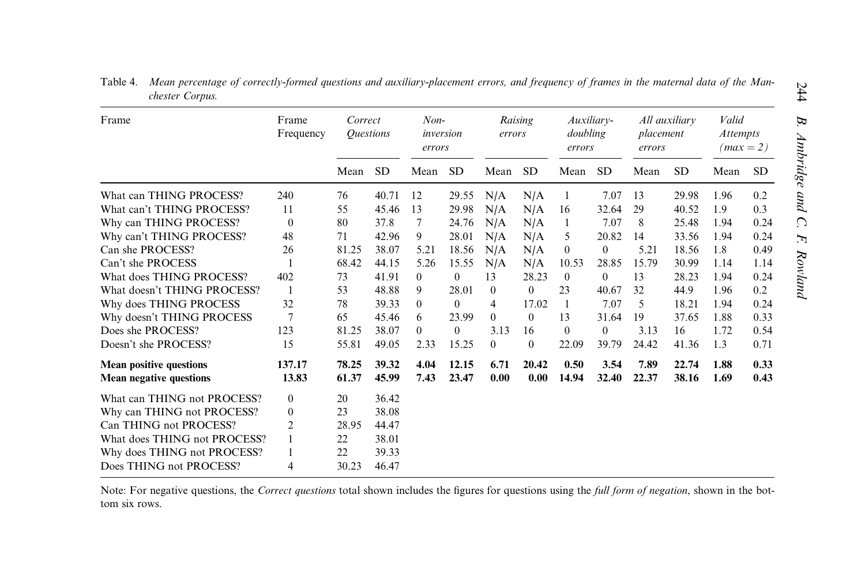Table 4. Mean percentage of correctly-formed questions and auxiliary-placement errors, and frequency of frames in the maternal data of the Manchester Corpus.

| Frame                          | Frame<br>Frequency | Correct<br><i><u><b>Ouestions</b></u></i> |       | $Non-$<br>inversion<br>errors |           | Raising<br>errors |           | Auxiliary-<br>doubling<br>errors |              | All auxiliary<br>placement<br>errors |       | Valid<br><i>Attempts</i><br>$(max = 2)$ |           |
|--------------------------------|--------------------|-------------------------------------------|-------|-------------------------------|-----------|-------------------|-----------|----------------------------------|--------------|--------------------------------------|-------|-----------------------------------------|-----------|
|                                |                    | Mean                                      | SD    | Mean                          | <b>SD</b> | Mean              | <b>SD</b> | Mean                             | <b>SD</b>    | Mean                                 | SD    | Mean                                    | <b>SD</b> |
| What can THING PROCESS?        | 240                | 76                                        | 40.71 | 12                            | 29.55     | N/A               | N/A       | 1                                | 7.07         | 13                                   | 29.98 | 1.96                                    | 0.2       |
| What can't THING PROCESS?      | 11                 | 55                                        | 45.46 | 13                            | 29.98     | N/A               | N/A       | 16                               | 32.64        | 29                                   | 40.52 | 1.9                                     | 0.3       |
| Why can THING PROCESS?         | $\mathbf{0}$       | 80                                        | 37.8  | 7                             | 24.76     | N/A               | N/A       | 1                                | 7.07         | 8                                    | 25.48 | 1.94                                    | 0.24      |
| Why can't THING PROCESS?       | 48                 | 71                                        | 42.96 | 9                             | 28.01     | N/A               | N/A       | 5                                | 20.82        | 14                                   | 33.56 | 1.94                                    | 0.24      |
| Can she PROCESS?               | 26                 | 81.25                                     | 38.07 | 5.21                          | 18.56     | N/A               | N/A       | $\theta$                         | $\mathbf{0}$ | 5.21                                 | 18.56 | 1.8                                     | 0.49      |
| Can't she PROCESS              |                    | 68.42                                     | 44.15 | 5.26                          | 15.55     | N/A               | N/A       | 10.53                            | 28.85        | 15.79                                | 30.99 | 1.14                                    | 1.14      |
| What does THING PROCESS?       | 402                | 73                                        | 41.91 | $\mathbf{0}$                  | $\theta$  | 13                | 28.23     | $\mathbf{0}$                     | $\theta$     | 13                                   | 28.23 | 1.94                                    | 0.24      |
| What doesn't THING PROCESS?    |                    | 53                                        | 48.88 | 9                             | 28.01     | $\theta$          | $\theta$  | 23                               | 40.67        | 32                                   | 44.9  | 1.96                                    | 0.2       |
| Why does THING PROCESS         | 32                 | 78                                        | 39.33 | $\Omega$                      | $\theta$  | 4                 | 17.02     |                                  | 7.07         | 5                                    | 18.21 | 1.94                                    | 0.24      |
| Why doesn't THING PROCESS      | 7                  | 65                                        | 45.46 | 6                             | 23.99     | $\Omega$          | $\theta$  | 13                               | 31.64        | 19                                   | 37.65 | 1.88                                    | 0.33      |
| Does she PROCESS?              | 123                | 81.25                                     | 38.07 | $\theta$                      | $\theta$  | 3.13              | 16        | $\theta$                         | $\theta$     | 3.13                                 | 16    | 1.72                                    | 0.54      |
| Doesn't she PROCESS?           | 15                 | 55.81                                     | 49.05 | 2.33                          | 15.25     | $\theta$          | $\theta$  | 22.09                            | 39.79        | 24.42                                | 41.36 | 1.3                                     | 0.71      |
| Mean positive questions        | 137.17             | 78.25                                     | 39.32 | 4.04                          | 12.15     | 6.71              | 20.42     | 0.50                             | 3.54         | 7.89                                 | 22.74 | 1.88                                    | 0.33      |
| <b>Mean negative questions</b> | 13.83              | 61.37                                     | 45.99 | 7.43                          | 23.47     | 0.00              | 0.00      | 14.94                            | 32.40        | 22.37                                | 38.16 | 1.69                                    | 0.43      |
| What can THING not PROCESS?    | $\mathbf{0}$       | 20                                        | 36.42 |                               |           |                   |           |                                  |              |                                      |       |                                         |           |
| Why can THING not PROCESS?     | $\mathbf{0}$       | 23                                        | 38.08 |                               |           |                   |           |                                  |              |                                      |       |                                         |           |
| Can THING not PROCESS?         | 2                  | 28.95                                     | 44.47 |                               |           |                   |           |                                  |              |                                      |       |                                         |           |
| What does THING not PROCESS?   |                    | 22                                        | 38.01 |                               |           |                   |           |                                  |              |                                      |       |                                         |           |
| Why does THING not PROCESS?    |                    | 22                                        | 39.33 |                               |           |                   |           |                                  |              |                                      |       |                                         |           |
| Does THING not PROCESS?        | 4                  | 30.23                                     | 46.47 |                               |           |                   |           |                                  |              |                                      |       |                                         |           |

Note: For negative questions, the Correct questions total shown includes the figures for questions using the full form of negation, shown in the bottom six rows.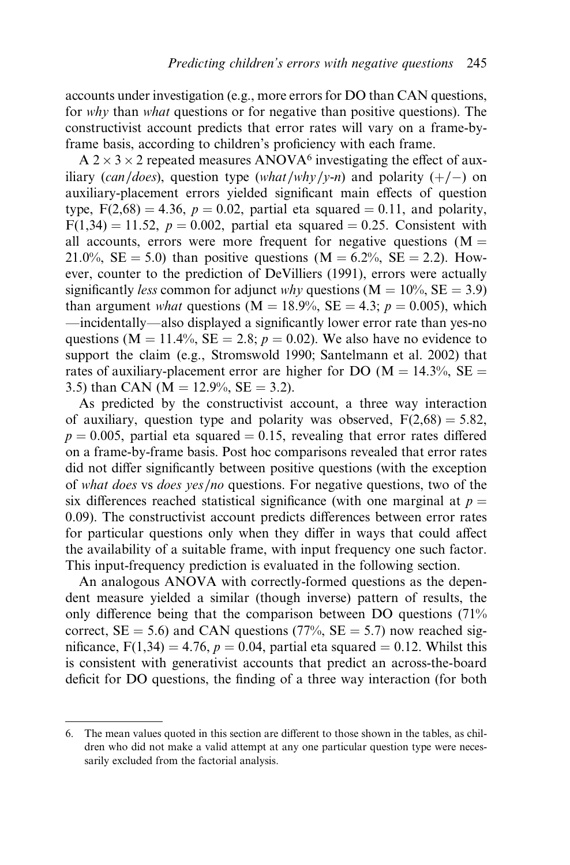accounts under investigation (e.g., more errors for DO than CAN questions, for why than what questions or for negative than positive questions). The constructivist account predicts that error rates will vary on a frame-byframe basis, according to children's proficiency with each frame.

A  $2 \times 3 \times 2$  repeated measures ANOVA<sup>6</sup> investigating the effect of auxiliary (can/does), question type (what/why/y-n) and polarity  $(+/-)$  on auxiliary-placement errors yielded significant main effects of question type,  $F(2,68) = 4.36$ ,  $p = 0.02$ , partial eta squared  $= 0.11$ , and polarity,  $F(1,34) = 11.52, p = 0.002$ , partial eta squared = 0.25. Consistent with all accounts, errors were more frequent for negative questions ( $M =$ 21.0%, SE = 5.0) than positive questions (M = 6.2%, SE = 2.2). However, counter to the prediction of DeVilliers (1991), errors were actually significantly less common for adjunct why questions ( $M = 10\%$ ,  $SE = 3.9$ ) than argument *what* questions (M = 18.9%, SE = 4.3;  $p = 0.005$ ), which —incidentally—also displayed a significantly lower error rate than yes-no questions ( $M = 11.4\%$ ,  $SE = 2.8$ ;  $p = 0.02$ ). We also have no evidence to support the claim (e.g., Stromswold 1990; Santelmann et al. 2002) that rates of auxiliary-placement error are higher for DO ( $M = 14.3\%$ ,  $SE =$ 3.5) than CAN ( $\dot{M} = 12.9\%$ , SE = 3.2).

As predicted by the constructivist account, a three way interaction of auxiliary, question type and polarity was observed,  $F(2,68) = 5.82$ ,  $p = 0.005$ , partial eta squared  $= 0.15$ , revealing that error rates differed on a frame-by-frame basis. Post hoc comparisons revealed that error rates did not differ significantly between positive questions (with the exception of what does vs does yes/no questions. For negative questions, two of the six differences reached statistical significance (with one marginal at  $p =$ 0.09). The constructivist account predicts differences between error rates for particular questions only when they differ in ways that could affect the availability of a suitable frame, with input frequency one such factor. This input-frequency prediction is evaluated in the following section.

An analogous ANOVA with correctly-formed questions as the dependent measure yielded a similar (though inverse) pattern of results, the only difference being that the comparison between DO questions  $(71\%)$ correct,  $SE = 5.6$ ) and CAN questions (77%,  $SE = 5.7$ ) now reached significance,  $F(1,34) = 4.76$ ,  $p = 0.04$ , partial eta squared = 0.12. Whilst this is consistent with generativist accounts that predict an across-the-board deficit for DO questions, the finding of a three way interaction (for both

<sup>6.</sup> The mean values quoted in this section are different to those shown in the tables, as children who did not make a valid attempt at any one particular question type were necessarily excluded from the factorial analysis.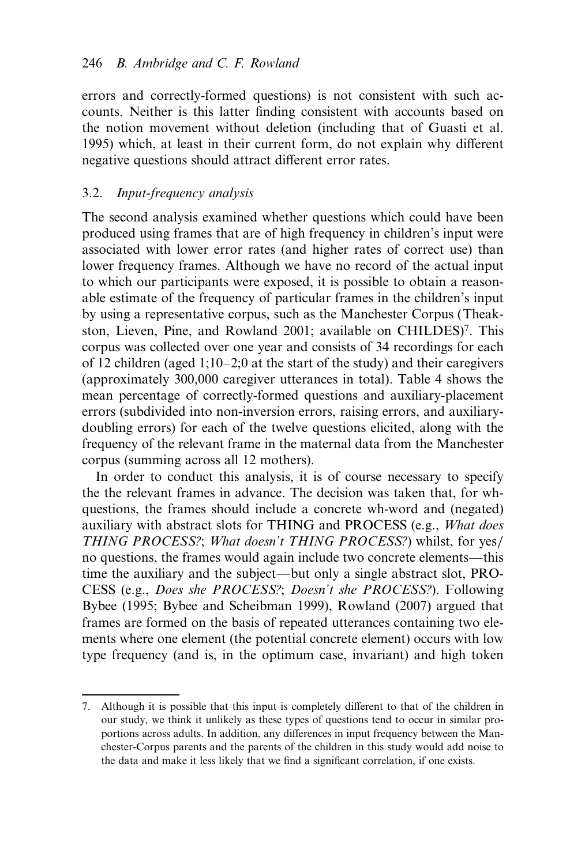errors and correctly-formed questions) is not consistent with such accounts. Neither is this latter finding consistent with accounts based on the notion movement without deletion (including that of Guasti et al. 1995) which, at least in their current form, do not explain why different negative questions should attract different error rates.

# 3.2. Input-frequency analysis

The second analysis examined whether questions which could have been produced using frames that are of high frequency in children's input were associated with lower error rates (and higher rates of correct use) than lower frequency frames. Although we have no record of the actual input to which our participants were exposed, it is possible to obtain a reasonable estimate of the frequency of particular frames in the children's input by using a representative corpus, such as the Manchester Corpus (Theakston, Lieven, Pine, and Rowland 2001; available on CHILDES)7. This corpus was collected over one year and consists of 34 recordings for each of 12 children (aged 1;10–2;0 at the start of the study) and their caregivers (approximately 300,000 caregiver utterances in total). Table 4 shows the mean percentage of correctly-formed questions and auxiliary-placement errors (subdivided into non-inversion errors, raising errors, and auxiliarydoubling errors) for each of the twelve questions elicited, along with the frequency of the relevant frame in the maternal data from the Manchester corpus (summing across all 12 mothers).

In order to conduct this analysis, it is of course necessary to specify the the relevant frames in advance. The decision was taken that, for whquestions, the frames should include a concrete wh-word and (negated) auxiliary with abstract slots for THING and PROCESS (e.g., What does THING PROCESS?; What doesn't THING PROCESS?) whilst, for yes/ no questions, the frames would again include two concrete elements—this time the auxiliary and the subject—but only a single abstract slot, PRO-CESS (e.g., Does she PROCESS?; Doesn't she PROCESS?). Following Bybee (1995; Bybee and Scheibman 1999), Rowland (2007) argued that frames are formed on the basis of repeated utterances containing two elements where one element (the potential concrete element) occurs with low type frequency (and is, in the optimum case, invariant) and high token

<sup>7.</sup> Although it is possible that this input is completely different to that of the children in our study, we think it unlikely as these types of questions tend to occur in similar proportions across adults. In addition, any differences in input frequency between the Manchester-Corpus parents and the parents of the children in this study would add noise to the data and make it less likely that we find a significant correlation, if one exists.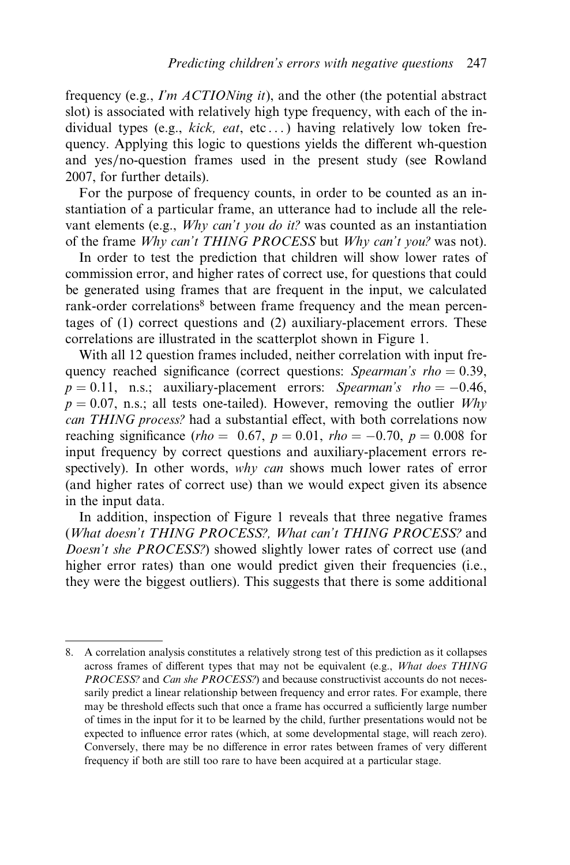frequency (e.g., I'm  $\Lambda$ CTIONing it), and the other (the potential abstract slot) is associated with relatively high type frequency, with each of the individual types (e.g., *kick, eat, etc...*) having relatively low token frequency. Applying this logic to questions yields the different wh-question and yes/no-question frames used in the present study (see Rowland 2007, for further details).

For the purpose of frequency counts, in order to be counted as an instantiation of a particular frame, an utterance had to include all the relevant elements (e.g., Why can't you do it? was counted as an instantiation of the frame Why can't THING PROCESS but Why can't you? was not).

In order to test the prediction that children will show lower rates of commission error, and higher rates of correct use, for questions that could be generated using frames that are frequent in the input, we calculated rank-order correlations<sup>8</sup> between frame frequency and the mean percentages of (1) correct questions and (2) auxiliary-placement errors. These correlations are illustrated in the scatterplot shown in Figure 1.

With all 12 question frames included, neither correlation with input frequency reached significance (correct questions: Spearman's rho =  $0.39$ .  $p = 0.11$ , n.s.; auxiliary-placement errors: Spearman's rho = -0.46,  $p = 0.07$ , n.s.; all tests one-tailed). However, removing the outlier Why can THING process? had a substantial effect, with both correlations now reaching significance (*rho* = 0.67,  $p = 0.01$ , *rho* = -0.70,  $p = 0.008$  for input frequency by correct questions and auxiliary-placement errors respectively). In other words, why can shows much lower rates of error (and higher rates of correct use) than we would expect given its absence in the input data.

In addition, inspection of Figure 1 reveals that three negative frames (What doesn't THING PROCESS?, What can't THING PROCESS? and Doesn't she PROCESS?) showed slightly lower rates of correct use (and higher error rates) than one would predict given their frequencies (i.e., they were the biggest outliers). This suggests that there is some additional

<sup>8.</sup> A correlation analysis constitutes a relatively strong test of this prediction as it collapses across frames of different types that may not be equivalent (e.g., What does THING PROCESS? and Can she PROCESS?) and because constructivist accounts do not necessarily predict a linear relationship between frequency and error rates. For example, there may be threshold effects such that once a frame has occurred a sufficiently large number of times in the input for it to be learned by the child, further presentations would not be expected to influence error rates (which, at some developmental stage, will reach zero). Conversely, there may be no difference in error rates between frames of very different frequency if both are still too rare to have been acquired at a particular stage.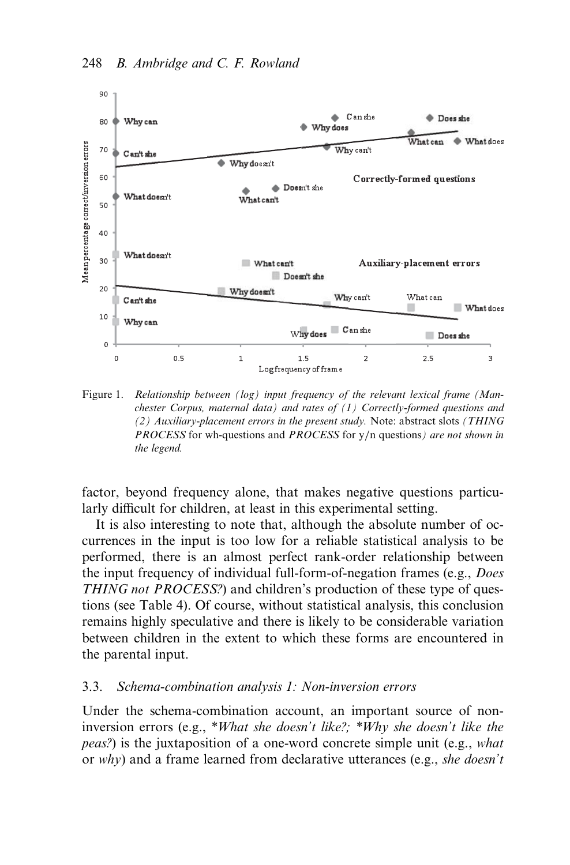

Figure 1. Relationship between (log) input frequency of the relevant lexical frame (Manchester Corpus, maternal data) and rates of (1) Correctly-formed questions and (2) Auxiliary-placement errors in the present study. Note: abstract slots  $(THING)$ PROCESS for wh-questions and PROCESS for y/n questions) are not shown in the legend.

factor, beyond frequency alone, that makes negative questions particularly difficult for children, at least in this experimental setting.

It is also interesting to note that, although the absolute number of occurrences in the input is too low for a reliable statistical analysis to be performed, there is an almost perfect rank-order relationship between the input frequency of individual full-form-of-negation frames (e.g., Does THING not PROCESS?) and children's production of these type of questions (see Table 4). Of course, without statistical analysis, this conclusion remains highly speculative and there is likely to be considerable variation between children in the extent to which these forms are encountered in the parental input.

#### 3.3. Schema-combination analysis 1: Non-inversion errors

Under the schema-combination account, an important source of noninversion errors (e.g., \*What she doesn't like?; \*Why she doesn't like the peas?) is the juxtaposition of a one-word concrete simple unit (e.g., what or why) and a frame learned from declarative utterances (e.g., she doesn't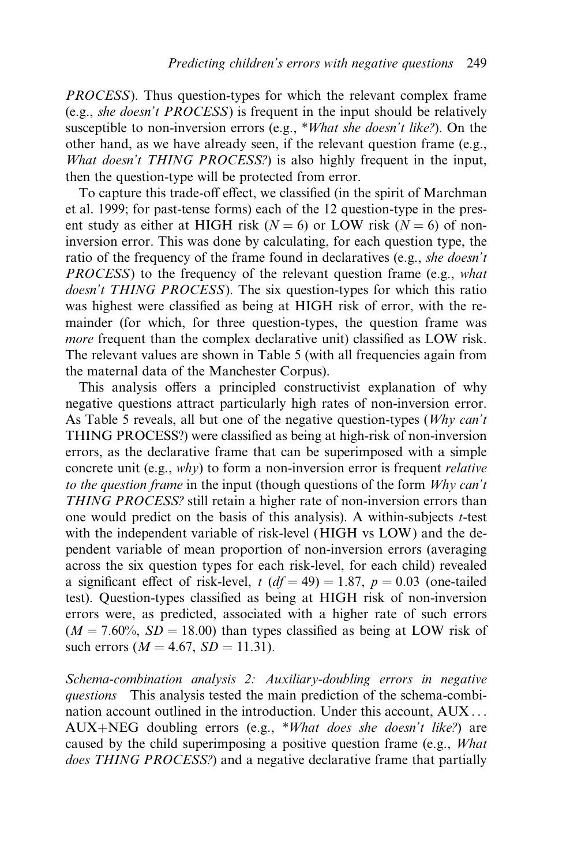PROCESS). Thus question-types for which the relevant complex frame (e.g., she doesn't PROCESS) is frequent in the input should be relatively susceptible to non-inversion errors (e.g., \*What she doesn't like?). On the other hand, as we have already seen, if the relevant question frame (e.g., What doesn't THING PROCESS?) is also highly frequent in the input, then the question-type will be protected from error.

To capture this trade-off effect, we classified (in the spirit of Marchman et al. 1999; for past-tense forms) each of the 12 question-type in the present study as either at HIGH risk ( $N = 6$ ) or LOW risk ( $N = 6$ ) of noninversion error. This was done by calculating, for each question type, the ratio of the frequency of the frame found in declaratives (e.g., *she doesn't* PROCESS) to the frequency of the relevant question frame (e.g., what doesn't THING PROCESS). The six question-types for which this ratio was highest were classified as being at HIGH risk of error, with the remainder (for which, for three question-types, the question frame was more frequent than the complex declarative unit) classified as LOW risk. The relevant values are shown in Table 5 (with all frequencies again from the maternal data of the Manchester Corpus).

This analysis offers a principled constructivist explanation of why negative questions attract particularly high rates of non-inversion error. As Table 5 reveals, all but one of the negative question-types (Why can't THING PROCESS?) were classified as being at high-risk of non-inversion errors, as the declarative frame that can be superimposed with a simple concrete unit (e.g., why) to form a non-inversion error is frequent relative to the question frame in the input (though questions of the form Why can't THING PROCESS? still retain a higher rate of non-inversion errors than one would predict on the basis of this analysis). A within-subjects t-test with the independent variable of risk-level (HIGH vs LOW) and the dependent variable of mean proportion of non-inversion errors (averaging across the six question types for each risk-level, for each child) revealed a significant effect of risk-level, t  $(df = 49) = 1.87$ ,  $p = 0.03$  (one-tailed test). Question-types classified as being at HIGH risk of non-inversion errors were, as predicted, associated with a higher rate of such errors  $(M = 7.60\%, SD = 18.00)$  than types classified as being at LOW risk of such errors ( $M = 4.67$ ,  $SD = 11.31$ ).

Schema-combination analysis 2: Auxiliary-doubling errors in negative questions This analysis tested the main prediction of the schema-combination account outlined in the introduction. Under this account, AUX ... AUX+NEG doubling errors (e.g.,  $*What$  does she doesn't like?) are caused by the child superimposing a positive question frame (e.g., What does THING PROCESS?) and a negative declarative frame that partially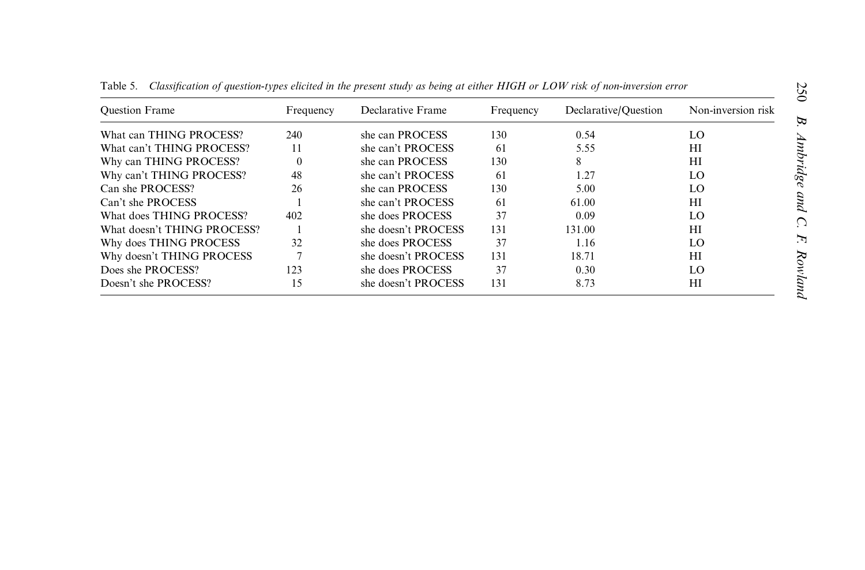| <b>Ouestion Frame</b>       | Frequency | Declarative Frame   | Frequency | Declarative/Ouestion | Non-inversion risk |
|-----------------------------|-----------|---------------------|-----------|----------------------|--------------------|
| What can THING PROCESS?     | 240       | she can PROCESS     | 130       | 0.54                 | LO                 |
| What can't THING PROCESS?   | 11        | she can't PROCESS   | -61       | 5.55                 | HI                 |
| Why can THING PROCESS?      | $\theta$  | she can PROCESS     | 130       | 8                    | НI                 |
| Why can't THING PROCESS?    | 48        | she can't PROCESS   | 61        | 1.27                 | LO                 |
| Can she PROCESS?            | 26        | she can PROCESS     | 130       | 5.00                 | LO                 |
| Can't she PROCESS           |           | she can't PROCESS   | 61        | 61.00                | НI                 |
| What does THING PROCESS?    | 402       | she does PROCESS    | 37        | 0.09                 | LO                 |
| What doesn't THING PROCESS? |           | she doesn't PROCESS | 131       | 131.00               | НI                 |
| Why does THING PROCESS      | 32        | she does PROCESS    | 37        | 1.16                 | LO                 |
| Why doesn't THING PROCESS   |           | she doesn't PROCESS | 131       | 18.71                | НI                 |
| Does she PROCESS?           | 123       | she does PROCESS    | 37        | 0.30                 | LO                 |
| Doesn't she PROCESS?        | 15        | she doesn't PROCESS | 131       | 8.73                 | HI                 |

Table 5. Classification of question-types elicited in the present study as being at either HIGH or LOW risk of non-inversion error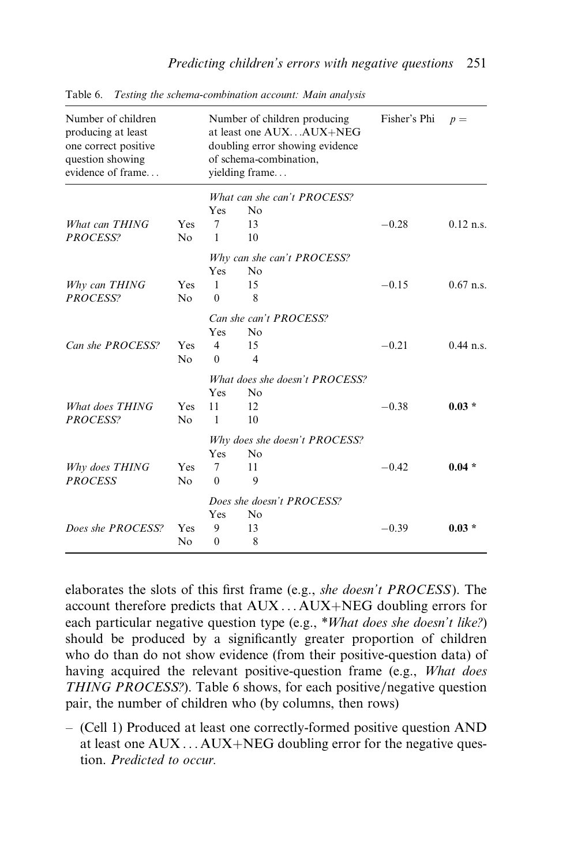| Number of children<br>producing at least<br>one correct positive<br>question showing<br>evidence of frame |     | Number of children producing<br>Fisher's Phi<br>$p =$<br>at least one AUXAUX+NEG<br>doubling error showing evidence<br>of schema-combination,<br>yielding frame |                                |         |             |
|-----------------------------------------------------------------------------------------------------------|-----|-----------------------------------------------------------------------------------------------------------------------------------------------------------------|--------------------------------|---------|-------------|
|                                                                                                           |     |                                                                                                                                                                 | What can she can't PROCESS?    |         |             |
|                                                                                                           |     | Yes                                                                                                                                                             | No                             |         |             |
| What can THING                                                                                            | Yes | 7                                                                                                                                                               | 13                             | $-0.28$ | $0.12$ n.s. |
| PROCESS?                                                                                                  | No  | 1                                                                                                                                                               | 10                             |         |             |
|                                                                                                           |     |                                                                                                                                                                 | Why can she can't PROCESS?     |         |             |
|                                                                                                           |     | <b>Yes</b>                                                                                                                                                      | No                             |         |             |
| Why can THING                                                                                             | Yes | 1                                                                                                                                                               | 15                             | $-0.15$ | $0.67$ n.s. |
| PROCESS?                                                                                                  | No  | $\theta$                                                                                                                                                        | 8                              |         |             |
|                                                                                                           |     |                                                                                                                                                                 | Can she can't PROCESS?         |         |             |
|                                                                                                           |     | <b>Yes</b>                                                                                                                                                      | No                             |         |             |
| Can she PROCESS?                                                                                          | Yes | $\overline{4}$                                                                                                                                                  | 15                             | $-0.21$ | $0.44$ n.s. |
|                                                                                                           | No  | $\Omega$                                                                                                                                                        | 4                              |         |             |
|                                                                                                           |     |                                                                                                                                                                 | What does she doesn't PROCESS? |         |             |
|                                                                                                           |     | Yes                                                                                                                                                             | No                             |         |             |
| What does THING                                                                                           | Yes | 11                                                                                                                                                              | 12                             | $-0.38$ | $0.03*$     |
| PROCESS?                                                                                                  | No  | 1                                                                                                                                                               | 10                             |         |             |
|                                                                                                           |     |                                                                                                                                                                 | Why does she doesn't PROCESS?  |         |             |
|                                                                                                           |     | Yes                                                                                                                                                             | No                             |         |             |
| Why does THING                                                                                            | Yes | 7                                                                                                                                                               | 11                             | $-0.42$ | $0.04*$     |
| <b>PROCESS</b>                                                                                            | No  | $\Omega$                                                                                                                                                        | 9                              |         |             |
|                                                                                                           |     |                                                                                                                                                                 | Does she doesn't PROCESS?      |         |             |
|                                                                                                           |     | Yes                                                                                                                                                             | No                             |         |             |
| Does she PROCESS?                                                                                         | Yes | 9                                                                                                                                                               | 13                             | $-0.39$ | $0.03*$     |
|                                                                                                           | No  | $\theta$                                                                                                                                                        | 8                              |         |             |

Table 6. Testing the schema-combination account: Main analysis

elaborates the slots of this first frame (e.g., she doesn't PROCESS). The account therefore predicts that  $AUX \dots AUX + NEG$  doubling errors for each particular negative question type (e.g., \*What does she doesn't like?) should be produced by a significantly greater proportion of children who do than do not show evidence (from their positive-question data) of having acquired the relevant positive-question frame (e.g., What does THING PROCESS?). Table 6 shows, for each positive/negative question pair, the number of children who (by columns, then rows)

– (Cell 1) Produced at least one correctly-formed positive question AND at least one  $AUX \dots AUX + NEG$  doubling error for the negative question. Predicted to occur.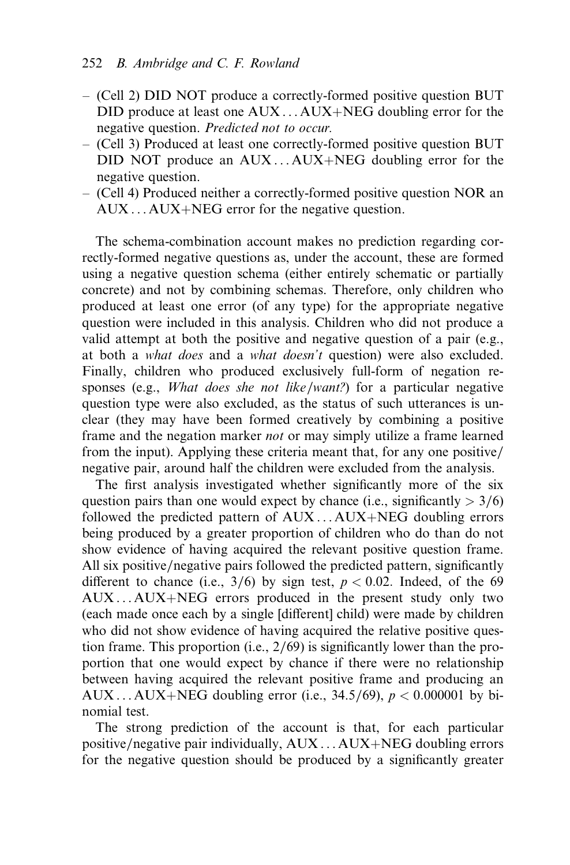- (Cell 2) DID NOT produce a correctly-formed positive question BUT DID produce at least one  $AUX \dots AUX + NEG$  doubling error for the negative question. Predicted not to occur.
- (Cell 3) Produced at least one correctly-formed positive question BUT DID NOT produce an  $AUX \dots AUX + NEG$  doubling error for the negative question.
- (Cell 4) Produced neither a correctly-formed positive question NOR an  $AUX \dots AUX + NEG$  error for the negative question.

The schema-combination account makes no prediction regarding correctly-formed negative questions as, under the account, these are formed using a negative question schema (either entirely schematic or partially concrete) and not by combining schemas. Therefore, only children who produced at least one error (of any type) for the appropriate negative question were included in this analysis. Children who did not produce a valid attempt at both the positive and negative question of a pair (e.g., at both a what does and a what doesn't question) were also excluded. Finally, children who produced exclusively full-form of negation responses (e.g., *What does she not like/want?*) for a particular negative question type were also excluded, as the status of such utterances is unclear (they may have been formed creatively by combining a positive frame and the negation marker not or may simply utilize a frame learned from the input). Applying these criteria meant that, for any one positive/ negative pair, around half the children were excluded from the analysis.

The first analysis investigated whether significantly more of the six question pairs than one would expect by chance (i.e., significantly  $> 3/6$ ) followed the predicted pattern of  $AUX \dots AUX + NEG$  doubling errors being produced by a greater proportion of children who do than do not show evidence of having acquired the relevant positive question frame. All six positive/negative pairs followed the predicted pattern, significantly different to chance (i.e.,  $3/6$ ) by sign test,  $p < 0.02$ . Indeed, of the 69  $AUX \dots AUX + NEG$  errors produced in the present study only two (each made once each by a single [different] child) were made by children who did not show evidence of having acquired the relative positive question frame. This proportion (i.e., 2/69) is significantly lower than the proportion that one would expect by chance if there were no relationship between having acquired the relevant positive frame and producing an AUX...AUX+NEG doubling error (i.e., 34.5/69),  $p < 0.000001$  by binomial test.

The strong prediction of the account is that, for each particular positive/negative pair individually,  $AUX \dots AUX + NEG$  doubling errors for the negative question should be produced by a significantly greater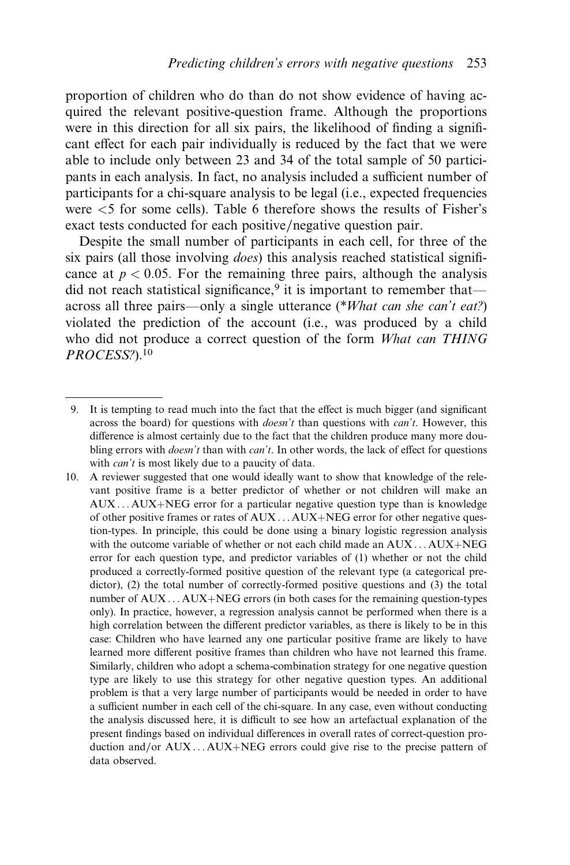proportion of children who do than do not show evidence of having acquired the relevant positive-question frame. Although the proportions were in this direction for all six pairs, the likelihood of finding a significant effect for each pair individually is reduced by the fact that we were able to include only between 23 and 34 of the total sample of 50 participants in each analysis. In fact, no analysis included a sufficient number of participants for a chi-square analysis to be legal (i.e., expected frequencies were  $\leq$  5 for some cells). Table 6 therefore shows the results of Fisher's exact tests conducted for each positive/negative question pair.

Despite the small number of participants in each cell, for three of the six pairs (all those involving *does*) this analysis reached statistical significance at  $p < 0.05$ . For the remaining three pairs, although the analysis did not reach statistical significance,<sup>9</sup> it is important to remember that across all three pairs—only a single utterance (\*What can she can't eat?) violated the prediction of the account (i.e., was produced by a child who did not produce a correct question of the form What can THING PROCESS?).10

<sup>9.</sup> It is tempting to read much into the fact that the effect is much bigger (and significant across the board) for questions with *doesn't* than questions with *can't*. However, this difference is almost certainly due to the fact that the children produce many more doubling errors with  $\cos n'$  than with  $\sin'$ . In other words, the lack of effect for questions with *can't* is most likely due to a paucity of data.

<sup>10.</sup> A reviewer suggested that one would ideally want to show that knowledge of the relevant positive frame is a better predictor of whether or not children will make an  $AUX \dots AUX + NEG$  error for a particular negative question type than is knowledge of other positive frames or rates of AUX ... AUX+NEG error for other negative question-types. In principle, this could be done using a binary logistic regression analysis with the outcome variable of whether or not each child made an  $AUX \dots AUX + NEG$ error for each question type, and predictor variables of (1) whether or not the child produced a correctly-formed positive question of the relevant type (a categorical predictor), (2) the total number of correctly-formed positive questions and (3) the total number of  $AUX \dots AUX + NEG$  errors (in both cases for the remaining question-types only). In practice, however, a regression analysis cannot be performed when there is a high correlation between the different predictor variables, as there is likely to be in this case: Children who have learned any one particular positive frame are likely to have learned more different positive frames than children who have not learned this frame. Similarly, children who adopt a schema-combination strategy for one negative question type are likely to use this strategy for other negative question types. An additional problem is that a very large number of participants would be needed in order to have a sufficient number in each cell of the chi-square. In any case, even without conducting the analysis discussed here, it is difficult to see how an artefactual explanation of the present findings based on individual differences in overall rates of correct-question production and/or  $AUX...AUX+NEG$  errors could give rise to the precise pattern of data observed.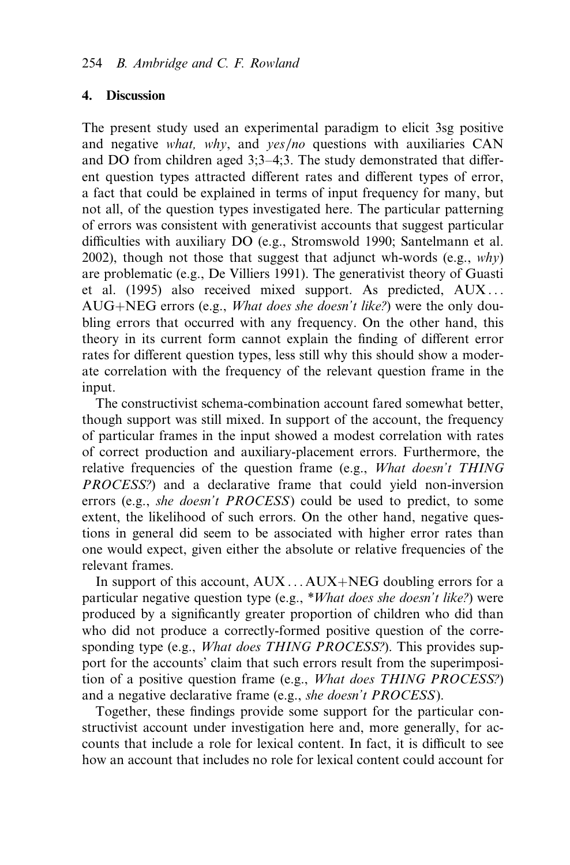# 4. Discussion

The present study used an experimental paradigm to elicit 3sg positive and negative what, why, and yes/no questions with auxiliaries CAN and DO from children aged  $3:3-4:3$ . The study demonstrated that different question types attracted different rates and different types of error, a fact that could be explained in terms of input frequency for many, but not all, of the question types investigated here. The particular patterning of errors was consistent with generativist accounts that suggest particular difficulties with auxiliary DO (e.g., Stromswold 1990; Santelmann et al. 2002), though not those that suggest that adjunct wh-words (e.g.,  $whv$ ) are problematic (e.g., De Villiers 1991). The generativist theory of Guasti et al. (1995) also received mixed support. As predicted, AUX . . . AUG+NEG errors (e.g., *What does she doesn't like?*) were the only doubling errors that occurred with any frequency. On the other hand, this theory in its current form cannot explain the finding of different error rates for different question types, less still why this should show a moderate correlation with the frequency of the relevant question frame in the input.

The constructivist schema-combination account fared somewhat better, though support was still mixed. In support of the account, the frequency of particular frames in the input showed a modest correlation with rates of correct production and auxiliary-placement errors. Furthermore, the relative frequencies of the question frame (e.g., What doesn't THING PROCESS?) and a declarative frame that could yield non-inversion errors (e.g., *she doesn't PROCESS*) could be used to predict, to some extent, the likelihood of such errors. On the other hand, negative questions in general did seem to be associated with higher error rates than one would expect, given either the absolute or relative frequencies of the relevant frames.

In support of this account,  $AUX \dots AUX + NEG$  doubling errors for a particular negative question type (e.g., \*What does she doesn't like?) were produced by a significantly greater proportion of children who did than who did not produce a correctly-formed positive question of the corresponding type (e.g., *What does THING PROCESS?*). This provides support for the accounts' claim that such errors result from the superimposition of a positive question frame (e.g., What does THING PROCESS?) and a negative declarative frame (e.g., she doesn't PROCESS).

Together, these findings provide some support for the particular constructivist account under investigation here and, more generally, for accounts that include a role for lexical content. In fact, it is difficult to see how an account that includes no role for lexical content could account for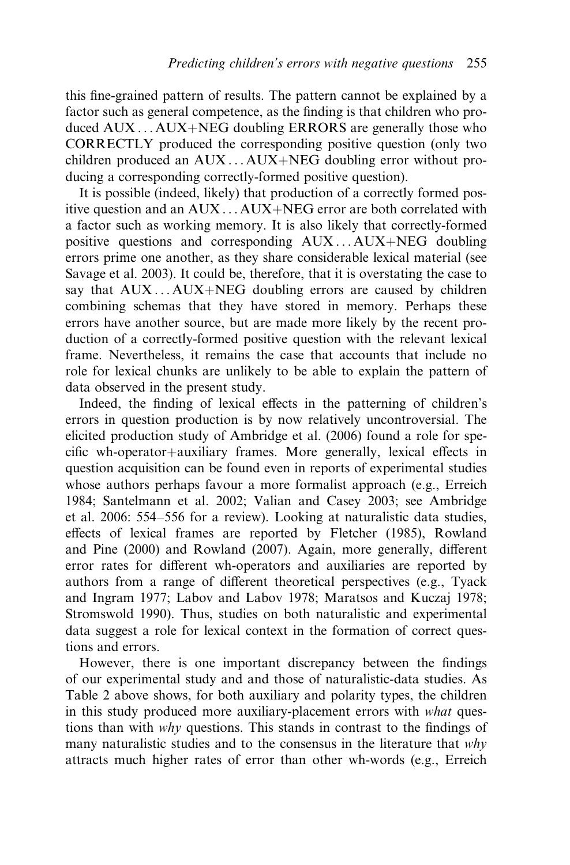this fine-grained pattern of results. The pattern cannot be explained by a factor such as general competence, as the finding is that children who produced  $AUX \dots AUX + NEG$  doubling ERRORS are generally those who CORRECTLY produced the corresponding positive question (only two children produced an  $AUX \dots AUX + NEG$  doubling error without producing a corresponding correctly-formed positive question).

It is possible (indeed, likely) that production of a correctly formed positive question and an  $AUX \dots AUX + NEG$  error are both correlated with a factor such as working memory. It is also likely that correctly-formed positive questions and corresponding  $AUX...AUX+NEG$  doubling errors prime one another, as they share considerable lexical material (see Savage et al. 2003). It could be, therefore, that it is overstating the case to say that  $AUX \dots AUX + NEG$  doubling errors are caused by children combining schemas that they have stored in memory. Perhaps these errors have another source, but are made more likely by the recent production of a correctly-formed positive question with the relevant lexical frame. Nevertheless, it remains the case that accounts that include no role for lexical chunks are unlikely to be able to explain the pattern of data observed in the present study.

Indeed, the finding of lexical effects in the patterning of children's errors in question production is by now relatively uncontroversial. The elicited production study of Ambridge et al. (2006) found a role for specific wh-operator+auxiliary frames. More generally, lexical effects in question acquisition can be found even in reports of experimental studies whose authors perhaps favour a more formalist approach (e.g., Erreich 1984; Santelmann et al. 2002; Valian and Casey 2003; see Ambridge et al. 2006: 554–556 for a review). Looking at naturalistic data studies, effects of lexical frames are reported by Fletcher (1985), Rowland and Pine  $(2000)$  and Rowland  $(2007)$ . Again, more generally, different error rates for different wh-operators and auxiliaries are reported by authors from a range of different theoretical perspectives (e.g., Tyack and Ingram 1977; Labov and Labov 1978; Maratsos and Kuczaj 1978; Stromswold 1990). Thus, studies on both naturalistic and experimental data suggest a role for lexical context in the formation of correct questions and errors.

However, there is one important discrepancy between the findings of our experimental study and and those of naturalistic-data studies. As Table 2 above shows, for both auxiliary and polarity types, the children in this study produced more auxiliary-placement errors with what questions than with why questions. This stands in contrast to the findings of many naturalistic studies and to the consensus in the literature that why attracts much higher rates of error than other wh-words (e.g., Erreich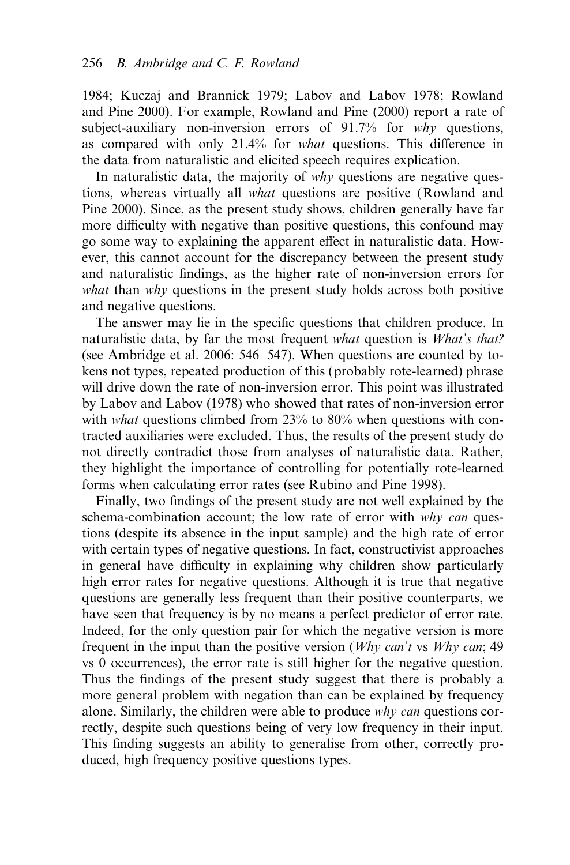1984; Kuczaj and Brannick 1979; Labov and Labov 1978; Rowland and Pine 2000). For example, Rowland and Pine (2000) report a rate of subject-auxiliary non-inversion errors of 91.7% for why questions, as compared with only  $21.4\%$  for *what* questions. This difference in the data from naturalistic and elicited speech requires explication.

In naturalistic data, the majority of  $why$  questions are negative questions, whereas virtually all what questions are positive (Rowland and Pine 2000). Since, as the present study shows, children generally have far more difficulty with negative than positive questions, this confound may go some way to explaining the apparent effect in naturalistic data. However, this cannot account for the discrepancy between the present study and naturalistic findings, as the higher rate of non-inversion errors for what than why questions in the present study holds across both positive and negative questions.

The answer may lie in the specific questions that children produce. In naturalistic data, by far the most frequent *what* question is *What's that?* (see Ambridge et al. 2006: 546–547). When questions are counted by tokens not types, repeated production of this (probably rote-learned) phrase will drive down the rate of non-inversion error. This point was illustrated by Labov and Labov (1978) who showed that rates of non-inversion error with *what* questions climbed from 23% to 80% when questions with contracted auxiliaries were excluded. Thus, the results of the present study do not directly contradict those from analyses of naturalistic data. Rather, they highlight the importance of controlling for potentially rote-learned forms when calculating error rates (see Rubino and Pine 1998).

Finally, two findings of the present study are not well explained by the schema-combination account; the low rate of error with why can questions (despite its absence in the input sample) and the high rate of error with certain types of negative questions. In fact, constructivist approaches in general have difficulty in explaining why children show particularly high error rates for negative questions. Although it is true that negative questions are generally less frequent than their positive counterparts, we have seen that frequency is by no means a perfect predictor of error rate. Indeed, for the only question pair for which the negative version is more frequent in the input than the positive version (Why can't vs Why can; 49 vs 0 occurrences), the error rate is still higher for the negative question. Thus the findings of the present study suggest that there is probably a more general problem with negation than can be explained by frequency alone. Similarly, the children were able to produce why can questions correctly, despite such questions being of very low frequency in their input. This finding suggests an ability to generalise from other, correctly produced, high frequency positive questions types.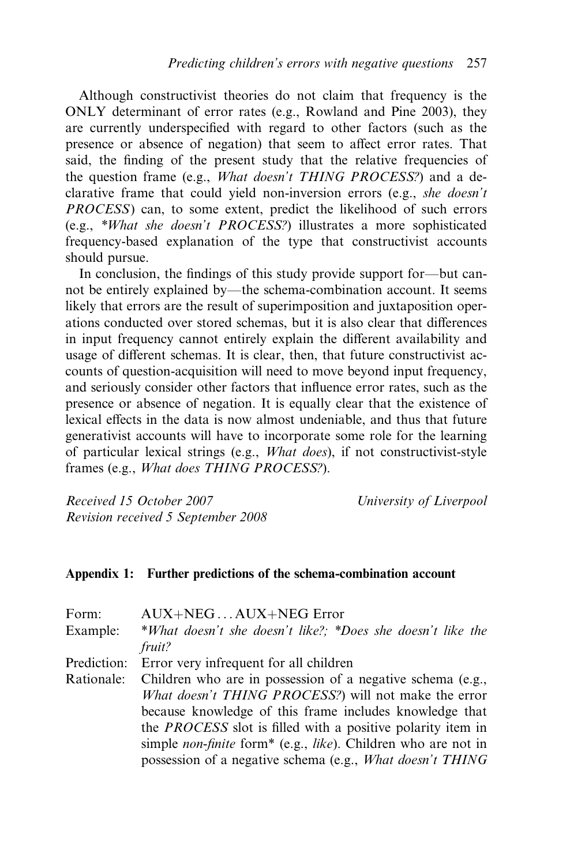Although constructivist theories do not claim that frequency is the ONLY determinant of error rates (e.g., Rowland and Pine 2003), they are currently underspecified with regard to other factors (such as the presence or absence of negation) that seem to affect error rates. That said, the finding of the present study that the relative frequencies of the question frame (e.g., What doesn't THING PROCESS?) and a declarative frame that could yield non-inversion errors (e.g., she doesn't PROCESS) can, to some extent, predict the likelihood of such errors (e.g., \*What she doesn't PROCESS?) illustrates a more sophisticated frequency-based explanation of the type that constructivist accounts should pursue.

In conclusion, the findings of this study provide support for—but cannot be entirely explained by—the schema-combination account. It seems likely that errors are the result of superimposition and juxtaposition operations conducted over stored schemas, but it is also clear that differences in input frequency cannot entirely explain the different availability and usage of different schemas. It is clear, then, that future constructivist accounts of question-acquisition will need to move beyond input frequency, and seriously consider other factors that influence error rates, such as the presence or absence of negation. It is equally clear that the existence of lexical effects in the data is now almost undeniable, and thus that future generativist accounts will have to incorporate some role for the learning of particular lexical strings (e.g., What does), if not constructivist-style frames (e.g., What does THING PROCESS?).

Received 15 October 2007 University of Liverpool Revision received 5 September 2008

#### Appendix 1: Further predictions of the schema-combination account

| Form:       | AUX+NEGAUX+NEG Error                                                         |
|-------------|------------------------------------------------------------------------------|
| Example:    | *What doesn't she doesn't like?; *Does she doesn't like the                  |
|             | fruit?                                                                       |
| Prediction: | Error very infrequent for all children                                       |
| Rationale:  | Children who are in possession of a negative schema (e.g.,                   |
|             | What doesn't THING PROCESS?) will not make the error                         |
|             | because knowledge of this frame includes knowledge that                      |
|             | the <i>PROCESS</i> slot is filled with a positive polarity item in           |
|             | simple <i>non-finite</i> form* (e.g., <i>like</i> ). Children who are not in |
|             | possession of a negative schema (e.g., What doesn't THING                    |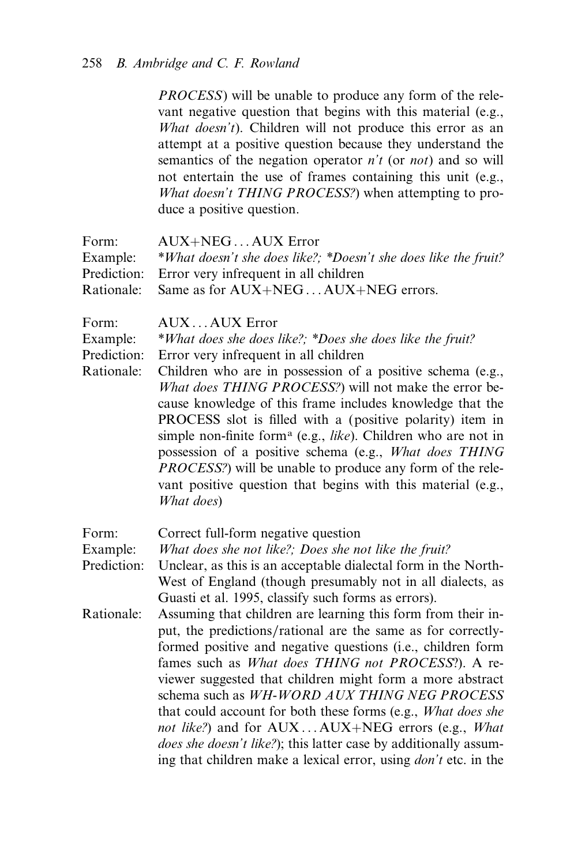PROCESS) will be unable to produce any form of the relevant negative question that begins with this material (e.g., What doesn't). Children will not produce this error as an attempt at a positive question because they understand the semantics of the negation operator  $n't$  (or *not*) and so will not entertain the use of frames containing this unit (e.g., What doesn't THING PROCESS?) when attempting to produce a positive question.

| Form:    | $AUX + NEGAUX Error$                                            |
|----------|-----------------------------------------------------------------|
| Example: | *What doesn't she does like?; *Doesn't she does like the fruit? |
|          | Prediction: Error very infrequent in all children               |
|          | Rationale: Same as for $AUX+NEGAUX+NEG$ errors.                 |

Form: AUX ... AUX Error

Example: \**What does she does like?*; \**Does she does like the fruit?* 

Prediction: Error very infrequent in all children

Rationale: Children who are in possession of a positive schema (e.g., What does THING PROCESS?) will not make the error because knowledge of this frame includes knowledge that the PROCESS slot is filled with a (positive polarity) item in simple non-finite form<sup>a</sup> (e.g., *like*). Children who are not in possession of a positive schema (e.g., What does THING PROCESS?) will be unable to produce any form of the relevant positive question that begins with this material (e.g., What does)

Form: Correct full-form negative question

Example: What does she not like?; Does she not like the fruit?

Prediction: Unclear, as this is an acceptable dialectal form in the North-West of England (though presumably not in all dialects, as Guasti et al. 1995, classify such forms as errors).

Rationale: Assuming that children are learning this form from their input, the predictions/rational are the same as for correctlyformed positive and negative questions (i.e., children form fames such as What does THING not PROCESS?). A reviewer suggested that children might form a more abstract schema such as WH-WORD AUX THING NEG PROCESS that could account for both these forms (e.g., What does she not like?) and for  $AUX \dots AUX + NEG$  errors (e.g., What does she doesn't like?); this latter case by additionally assuming that children make a lexical error, using don't etc. in the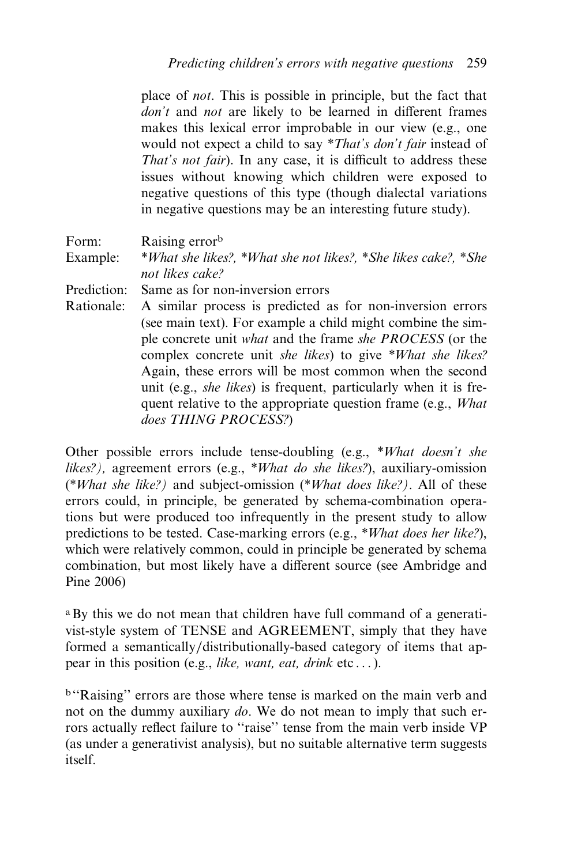place of not. This is possible in principle, but the fact that  $\phi$  don't and not are likely to be learned in different frames makes this lexical error improbable in our view (e.g., one would not expect a child to say \*That's don't fair instead of That's not fair). In any case, it is difficult to address these issues without knowing which children were exposed to negative questions of this type (though dialectal variations in negative questions may be an interesting future study).

| Form:       | Raising error <sup>b</sup>                                                                                                                                                                                                                                                                                                                                                                                                                                                                      |
|-------------|-------------------------------------------------------------------------------------------------------------------------------------------------------------------------------------------------------------------------------------------------------------------------------------------------------------------------------------------------------------------------------------------------------------------------------------------------------------------------------------------------|
| Example:    | *What she likes?, *What she not likes?, *She likes cake?, *She<br>not likes cake?                                                                                                                                                                                                                                                                                                                                                                                                               |
| Prediction: | Same as for non-inversion errors                                                                                                                                                                                                                                                                                                                                                                                                                                                                |
| Rationale:  | A similar process is predicted as for non-inversion errors<br>(see main text). For example a child might combine the sim-<br>ple concrete unit <i>what</i> and the frame <i>she PROCESS</i> (or the<br>complex concrete unit she likes) to give *What she likes?<br>Again, these errors will be most common when the second<br>unit (e.g., <i>she likes</i> ) is frequent, particularly when it is fre-<br>quent relative to the appropriate question frame (e.g., What<br>does THING PROCESS?) |

Other possible errors include tense-doubling (e.g., \*What doesn't she likes?), agreement errors (e.g., \*What do she likes?), auxiliary-omission (\*What she like?) and subject-omission (\*What does like?). All of these errors could, in principle, be generated by schema-combination operations but were produced too infrequently in the present study to allow predictions to be tested. Case-marking errors (e.g., \*What does her like?), which were relatively common, could in principle be generated by schema combination, but most likely have a different source (see Ambridge and Pine 2006)

aBy this we do not mean that children have full command of a generativist-style system of TENSE and AGREEMENT, simply that they have formed a semantically/distributionally-based category of items that appear in this position (e.g., *like, want, eat, drink* etc...).

b "Raising" errors are those where tense is marked on the main verb and not on the dummy auxiliary  $do$ . We do not mean to imply that such errors actually reflect failure to ''raise'' tense from the main verb inside VP (as under a generativist analysis), but no suitable alternative term suggests itself.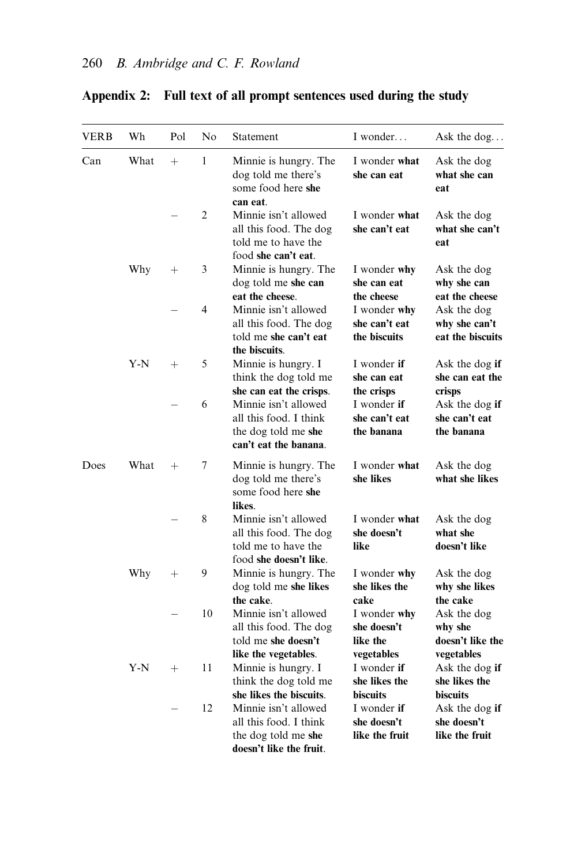| VERB | Wh    | Pol    | No             | Statement                                                                                        | I wonder                                              | Ask the dog                                              |
|------|-------|--------|----------------|--------------------------------------------------------------------------------------------------|-------------------------------------------------------|----------------------------------------------------------|
| Can  | What  | $+$    | 1              | Minnie is hungry. The<br>dog told me there's<br>some food here she<br>can eat.                   | I wonder what<br>she can eat                          | Ask the dog<br>what she can<br>eat                       |
|      |       |        | 2              | Minnie isn't allowed<br>all this food. The dog<br>told me to have the                            | I wonder what<br>she can't eat                        | Ask the dog<br>what she can't<br>eat                     |
|      | Why   | $+$    | 3              | food she can't eat.<br>Minnie is hungry. The<br>dog told me she can<br>eat the cheese.           | I wonder why<br>she can eat<br>the cheese             | Ask the dog<br>why she can<br>eat the cheese             |
|      |       |        | $\overline{4}$ | Minnie isn't allowed<br>all this food. The dog<br>told me she can't eat                          | I wonder why<br>she can't eat<br>the biscuits         | Ask the dog<br>why she can't<br>eat the biscuits         |
|      | Y-N   | $+$    | 5              | the biscuits.<br>Minnie is hungry. I<br>think the dog told me<br>she can eat the crisps.         | I wonder if<br>she can eat<br>the crisps              | Ask the dog if<br>she can eat the<br>crisps              |
|      |       |        | 6              | Minnie isn't allowed<br>all this food. I think<br>the dog told me she<br>can't eat the banana.   | I wonder if<br>she can't eat<br>the banana            | Ask the dog if<br>she can't eat<br>the banana            |
| Does | What  | $+$    | 7              | Minnie is hungry. The<br>dog told me there's<br>some food here she<br>likes.                     | I wonder what<br>she likes                            | Ask the dog<br>what she likes                            |
|      |       |        | 8              | Minnie isn't allowed<br>all this food. The dog<br>told me to have the<br>food she doesn't like.  | I wonder what<br>she doesn't<br>like                  | Ask the dog<br>what she<br>doesn't like                  |
|      | Why   | $^{+}$ | 9              | Minnie is hungry. The<br>dog told me she likes<br>the cake.                                      | I wonder why<br>she likes the<br>cake                 | Ask the dog<br>why she likes<br>the cake                 |
|      |       |        | 10             | Minnie isn't allowed<br>all this food. The dog<br>told me she doesn't<br>like the vegetables.    | I wonder why<br>she doesn't<br>like the<br>vegetables | Ask the dog<br>why she<br>doesn't like the<br>vegetables |
|      | $Y-N$ | $+$    | 11             | Minnie is hungry. I<br>think the dog told me<br>she likes the biscuits.                          | I wonder if<br>she likes the<br>biscuits              | Ask the dog if<br>she likes the<br>biscuits              |
|      |       |        | 12             | Minnie isn't allowed<br>all this food. I think<br>the dog told me she<br>doesn't like the fruit. | I wonder if<br>she doesn't<br>like the fruit          | Ask the dog if<br>she doesn't<br>like the fruit          |

Appendix 2: Full text of all prompt sentences used during the study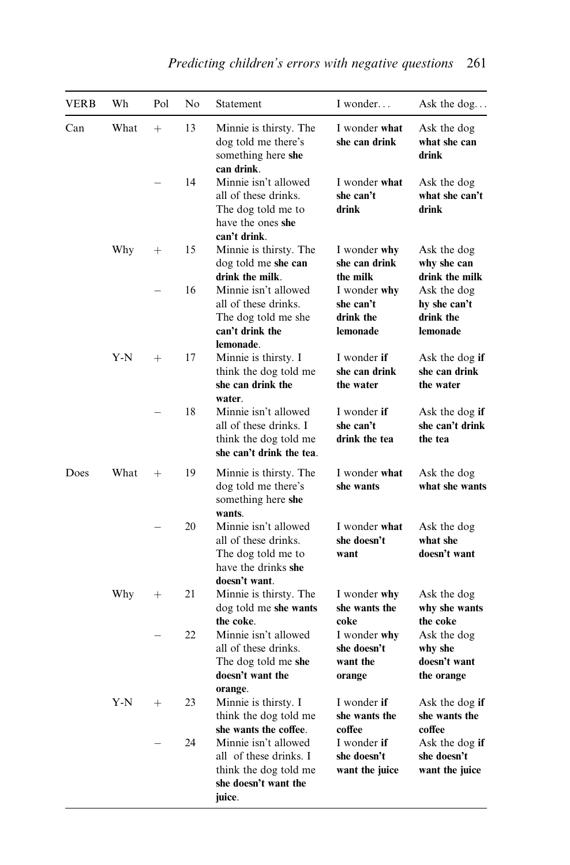| <b>VERB</b> | Wh   | Pol    | No | Statement                                                                                                  | I wonder                                           | Ask the dog                                          |
|-------------|------|--------|----|------------------------------------------------------------------------------------------------------------|----------------------------------------------------|------------------------------------------------------|
| Can         | What | $+$    | 13 | Minnie is thirsty. The<br>dog told me there's<br>something here she<br>can drink.                          | I wonder what<br>she can drink                     | Ask the dog<br>what she can<br>drink                 |
|             |      |        | 14 | Minnie isn't allowed<br>all of these drinks.<br>The dog told me to<br>have the ones she<br>can't drink.    | I wonder what<br>she can't<br>drink                | Ask the dog<br>what she can't<br>drink               |
|             | Why  | $+$    | 15 | Minnie is thirsty. The<br>dog told me she can<br>drink the milk.                                           | I wonder why<br>she can drink<br>the milk          | Ask the dog<br>why she can<br>drink the milk         |
|             |      |        | 16 | Minnie isn't allowed<br>all of these drinks.<br>The dog told me she<br>can't drink the<br>lemonade.        | I wonder why<br>she can't<br>drink the<br>lemonade | Ask the dog<br>hy she can't<br>drink the<br>lemonade |
|             | Y-N  | $^{+}$ | 17 | Minnie is thirsty. I<br>think the dog told me<br>she can drink the<br>water.                               | I wonder if<br>she can drink<br>the water          | Ask the dog if<br>she can drink<br>the water         |
|             |      |        | 18 | Minnie isn't allowed<br>all of these drinks. I<br>think the dog told me<br>she can't drink the tea.        | I wonder if<br>she can't<br>drink the tea          | Ask the dog if<br>she can't drink<br>the tea         |
| Does        | What | $+$    | 19 | Minnie is thirsty. The<br>dog told me there's<br>something here she<br>wants.                              | I wonder what<br>she wants                         | Ask the dog<br>what she wants                        |
|             |      |        | 20 | Minnie isn't allowed<br>all of these drinks.<br>The dog told me to<br>have the drinks she<br>doesn't want. | I wonder what<br>she doesn't<br>want               | Ask the dog<br>what she<br>doesn't want              |
|             | Why  | $+$    | 21 | Minnie is thirsty. The<br>dog told me she wants<br>the coke.                                               | I wonder why<br>she wants the<br>coke              | Ask the dog<br>why she wants<br>the coke             |
|             |      |        | 22 | Minnie isn't allowed<br>all of these drinks.<br>The dog told me she<br>doesn't want the<br>orange.         | I wonder why<br>she doesn't<br>want the<br>orange  | Ask the dog<br>why she<br>doesn't want<br>the orange |
|             | Y-N  | $+$    | 23 | Minnie is thirsty. I<br>think the dog told me<br>she wants the coffee.                                     | I wonder if<br>she wants the<br>coffee             | Ask the dog if<br>she wants the<br>coffee            |
|             |      |        | 24 | Minnie isn't allowed<br>all of these drinks. I<br>think the dog told me<br>she doesn't want the<br>juice.  | I wonder if<br>she doesn't<br>want the juice       | Ask the dog if<br>she doesn't<br>want the juice      |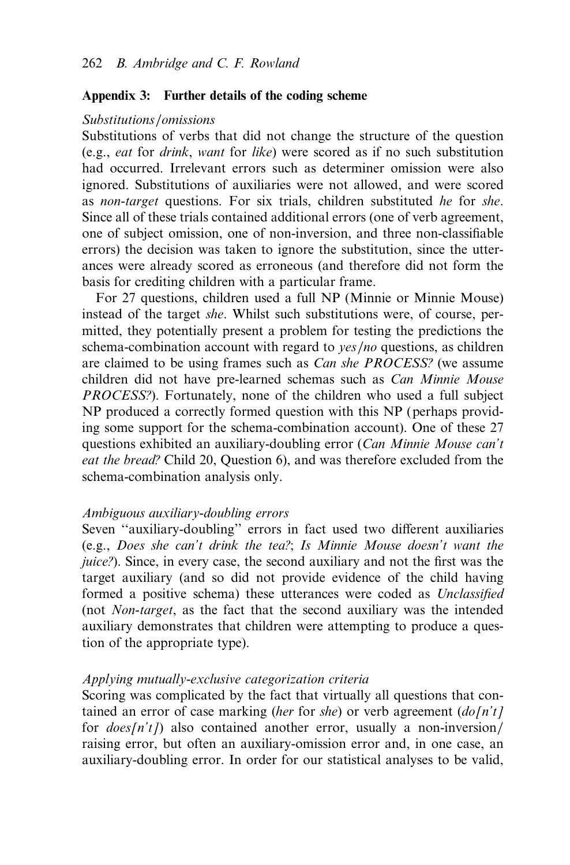#### Appendix 3: Further details of the coding scheme

#### Substitutions/omissions

Substitutions of verbs that did not change the structure of the question (e.g., eat for drink, want for like) were scored as if no such substitution had occurred. Irrelevant errors such as determiner omission were also ignored. Substitutions of auxiliaries were not allowed, and were scored as non-target questions. For six trials, children substituted he for she. Since all of these trials contained additional errors (one of verb agreement, one of subject omission, one of non-inversion, and three non-classifiable errors) the decision was taken to ignore the substitution, since the utterances were already scored as erroneous (and therefore did not form the basis for crediting children with a particular frame.

For 27 questions, children used a full NP (Minnie or Minnie Mouse) instead of the target she. Whilst such substitutions were, of course, permitted, they potentially present a problem for testing the predictions the schema-combination account with regard to *yes/no* questions, as children are claimed to be using frames such as Can she PROCESS? (we assume children did not have pre-learned schemas such as Can Minnie Mouse PROCESS?). Fortunately, none of the children who used a full subject NP produced a correctly formed question with this NP (perhaps providing some support for the schema-combination account). One of these 27 questions exhibited an auxiliary-doubling error (Can Minnie Mouse can't eat the bread? Child 20, Question 6), and was therefore excluded from the schema-combination analysis only.

# Ambiguous auxiliary-doubling errors

Seven "auxiliary-doubling" errors in fact used two different auxiliaries (e.g., Does she can't drink the tea?; Is Minnie Mouse doesn't want the juice?). Since, in every case, the second auxiliary and not the first was the target auxiliary (and so did not provide evidence of the child having formed a positive schema) these utterances were coded as Unclassified (not Non-target, as the fact that the second auxiliary was the intended auxiliary demonstrates that children were attempting to produce a question of the appropriate type).

#### Applying mutually-exclusive categorization criteria

Scoring was complicated by the fact that virtually all questions that contained an error of case marking (her for she) or verb agreement  $(dofn't)$ for  $does/n't)$  also contained another error, usually a non-inversion/ raising error, but often an auxiliary-omission error and, in one case, an auxiliary-doubling error. In order for our statistical analyses to be valid,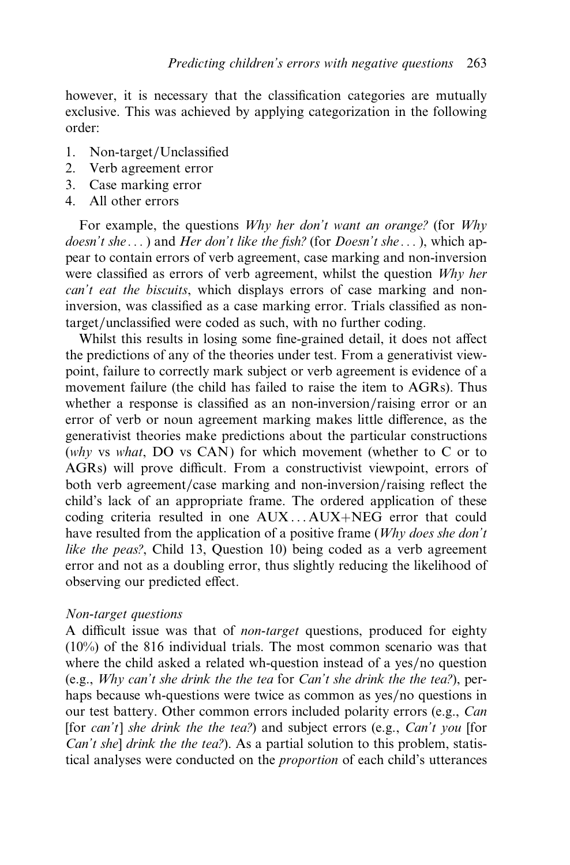however, it is necessary that the classification categories are mutually exclusive. This was achieved by applying categorization in the following order:

- 1. Non-target/Unclassified
- 2. Verb agreement error
- 3. Case marking error
- 4. All other errors

For example, the questions Why her don't want an orange? (for Why  $doesn't she...$ ) and Her don't like the fish? (for Doesn't she...), which appear to contain errors of verb agreement, case marking and non-inversion were classified as errors of verb agreement, whilst the question Why her can't eat the biscuits, which displays errors of case marking and noninversion, was classified as a case marking error. Trials classified as nontarget/unclassified were coded as such, with no further coding.

Whilst this results in losing some fine-grained detail, it does not affect the predictions of any of the theories under test. From a generativist viewpoint, failure to correctly mark subject or verb agreement is evidence of a movement failure (the child has failed to raise the item to AGRs). Thus whether a response is classified as an non-inversion/raising error or an error of verb or noun agreement marking makes little difference, as the generativist theories make predictions about the particular constructions (why vs what,  $DO$  vs  $CAN$ ) for which movement (whether to  $C$  or to AGRs) will prove difficult. From a constructivist viewpoint, errors of both verb agreement/case marking and non-inversion/raising reflect the child's lack of an appropriate frame. The ordered application of these coding criteria resulted in one  $AUX...AUX+NEG$  error that could have resulted from the application of a positive frame (Why does she don't like the peas?, Child 13, Question 10) being coded as a verb agreement error and not as a doubling error, thus slightly reducing the likelihood of observing our predicted effect.

# Non-target questions

A difficult issue was that of *non-target* questions, produced for eighty (10%) of the 816 individual trials. The most common scenario was that where the child asked a related wh-question instead of a yes/no question (e.g., Why can't she drink the the tea for Can't she drink the the tea?), perhaps because wh-questions were twice as common as yes/no questions in our test battery. Other common errors included polarity errors (e.g., Can [for can't] she drink the the tea?) and subject errors (e.g.,  $Can't$  you [for *Can't shel drink the the tea?*). As a partial solution to this problem, statistical analyses were conducted on the proportion of each child's utterances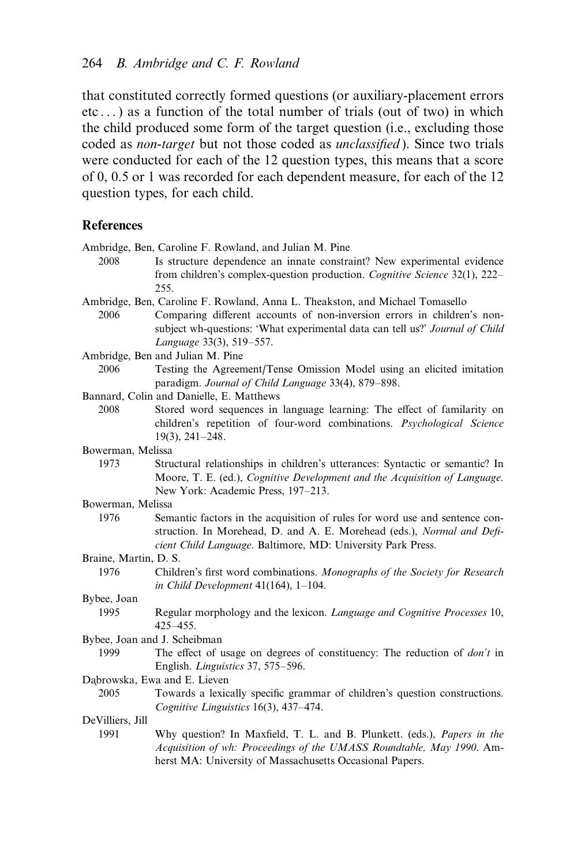that constituted correctly formed questions (or auxiliary-placement errors  $etc...$ ) as a function of the total number of trials (out of two) in which the child produced some form of the target question (i.e., excluding those coded as non-target but not those coded as *unclassified*). Since two trials were conducted for each of the 12 question types, this means that a score of 0, 0.5 or 1 was recorded for each dependent measure, for each of the 12 question types, for each child.

# References

| 2008                  | Ambridge, Ben, Caroline F. Rowland, and Julian M. Pine<br>Is structure dependence an innate constraint? New experimental evidence<br>from children's complex-question production. Cognitive Science 32(1), 222-<br>255.                                             |
|-----------------------|---------------------------------------------------------------------------------------------------------------------------------------------------------------------------------------------------------------------------------------------------------------------|
| 2006                  | Ambridge, Ben, Caroline F. Rowland, Anna L. Theakston, and Michael Tomasello<br>Comparing different accounts of non-inversion errors in children's non-<br>subject wh-questions: 'What experimental data can tell us?' Journal of Child<br>Language 33(3), 519-557. |
| 2006                  | Ambridge, Ben and Julian M. Pine<br>Testing the Agreement/Tense Omission Model using an elicited imitation<br>paradigm. Journal of Child Language 33(4), 879-898.                                                                                                   |
|                       | Bannard, Colin and Danielle, E. Matthews                                                                                                                                                                                                                            |
| 2008                  | Stored word sequences in language learning: The effect of familarity on<br>children's repetition of four-word combinations. Psychological Science<br>$19(3)$ , $241-248$ .                                                                                          |
| Bowerman, Melissa     |                                                                                                                                                                                                                                                                     |
| 1973                  | Structural relationships in children's utterances: Syntactic or semantic? In<br>Moore, T. E. (ed.), Cognitive Development and the Acquisition of Language.<br>New York: Academic Press, 197-213.                                                                    |
| Bowerman, Melissa     |                                                                                                                                                                                                                                                                     |
| 1976                  | Semantic factors in the acquisition of rules for word use and sentence con-<br>struction. In Morehead, D. and A. E. Morehead (eds.), Normal and Defi-<br>cient Child Language. Baltimore, MD: University Park Press.                                                |
| Braine, Martin, D. S. |                                                                                                                                                                                                                                                                     |
| 1976                  | Children's first word combinations. Monographs of the Society for Research<br>in Child Development $41(164)$ , 1-104.                                                                                                                                               |
| Bybee, Joan           |                                                                                                                                                                                                                                                                     |
| 1995                  | Regular morphology and the lexicon. Language and Cognitive Processes 10,<br>425-455.                                                                                                                                                                                |
|                       | Bybee, Joan and J. Scheibman                                                                                                                                                                                                                                        |
| 1999                  | The effect of usage on degrees of constituency: The reduction of don't in<br>English. Linguistics 37, 575-596.                                                                                                                                                      |
|                       | Dąbrowska, Ewa and E. Lieven                                                                                                                                                                                                                                        |
| 2005                  | Towards a lexically specific grammar of children's question constructions.<br>Cognitive Linguistics 16(3), 437-474.                                                                                                                                                 |
| DeVilliers, Jill      |                                                                                                                                                                                                                                                                     |
| 1991                  | Why question? In Maxfield, T. L. and B. Plunkett. (eds.), Papers in the<br>Acquisition of wh: Proceedings of the UMASS Roundtable, May 1990. Am-<br>herst MA: University of Massachusetts Occasional Papers.                                                        |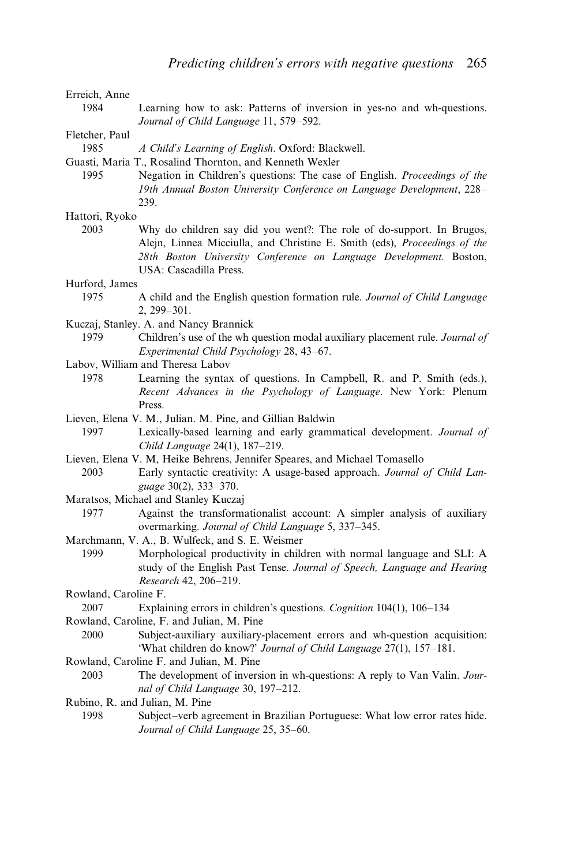| Erreich, Anne<br>1984                | Learning how to ask: Patterns of inversion in yes-no and wh-questions.<br>Journal of Child Language 11, 579-592.                                                                                                                                   |
|--------------------------------------|----------------------------------------------------------------------------------------------------------------------------------------------------------------------------------------------------------------------------------------------------|
| Fletcher, Paul                       |                                                                                                                                                                                                                                                    |
| 1985                                 | A Child's Learning of English. Oxford: Blackwell.                                                                                                                                                                                                  |
| 1995                                 | Guasti, Maria T., Rosalind Thornton, and Kenneth Wexler<br>Negation in Children's questions: The case of English. <i>Proceedings of the</i><br>19th Annual Boston University Conference on Language Development, 228-<br>239.                      |
| Hattori, Ryoko                       |                                                                                                                                                                                                                                                    |
| 2003                                 | Why do children say did you went?: The role of do-support. In Brugos,<br>Alejn, Linnea Micciulla, and Christine E. Smith (eds), Proceedings of the<br>28th Boston University Conference on Language Development. Boston,<br>USA: Cascadilla Press. |
| Hurford, James                       |                                                                                                                                                                                                                                                    |
| 1975                                 | A child and the English question formation rule. Journal of Child Language<br>2, 299-301.                                                                                                                                                          |
|                                      | Kuczaj, Stanley. A. and Nancy Brannick                                                                                                                                                                                                             |
| 1979                                 | Children's use of the wh question modal auxiliary placement rule. Journal of<br>Experimental Child Psychology 28, 43–67.                                                                                                                           |
|                                      | Labov, William and Theresa Labov                                                                                                                                                                                                                   |
| 1978                                 | Learning the syntax of questions. In Campbell, R. and P. Smith (eds.),<br>Recent Advances in the Psychology of Language. New York: Plenum<br>Press.                                                                                                |
|                                      | Lieven, Elena V. M., Julian. M. Pine, and Gillian Baldwin                                                                                                                                                                                          |
| 1997                                 | Lexically-based learning and early grammatical development. Journal of<br>Child Language 24(1), 187–219.                                                                                                                                           |
|                                      | Lieven, Elena V. M, Heike Behrens, Jennifer Speares, and Michael Tomasello                                                                                                                                                                         |
| 2003                                 | Early syntactic creativity: A usage-based approach. Journal of Child Lan-<br>guage 30(2), 333-370.                                                                                                                                                 |
| Maratsos, Michael and Stanley Kuczaj |                                                                                                                                                                                                                                                    |
| 1977                                 | Against the transformationalist account: A simpler analysis of auxiliary<br>overmarking. Journal of Child Language 5, 337-345.                                                                                                                     |
|                                      | Marchmann, V. A., B. Wulfeck, and S. E. Weismer                                                                                                                                                                                                    |
| 1999                                 | Morphological productivity in children with normal language and SLI: A<br>study of the English Past Tense. Journal of Speech, Language and Hearing<br>Research 42, 206-219.                                                                        |
| Rowland, Caroline F.                 |                                                                                                                                                                                                                                                    |
| 2007                                 | Explaining errors in children's questions. Cognition 104(1), 106-134                                                                                                                                                                               |
|                                      | Rowland, Caroline, F. and Julian, M. Pine                                                                                                                                                                                                          |
| 2000                                 | Subject-auxiliary auxiliary-placement errors and wh-question acquisition:<br>'What children do know?' Journal of Child Language 27(1), 157-181.                                                                                                    |
|                                      | Rowland, Caroline F. and Julian, M. Pine                                                                                                                                                                                                           |
| 2003                                 | The development of inversion in wh-questions: A reply to Van Valin. Jour-<br>nal of Child Language 30, 197-212.                                                                                                                                    |
| Rubino, R. and Julian, M. Pine       |                                                                                                                                                                                                                                                    |
| 1998                                 | Subject–verb agreement in Brazilian Portuguese: What low error rates hide.<br>Journal of Child Language 25, 35-60.                                                                                                                                 |
|                                      |                                                                                                                                                                                                                                                    |